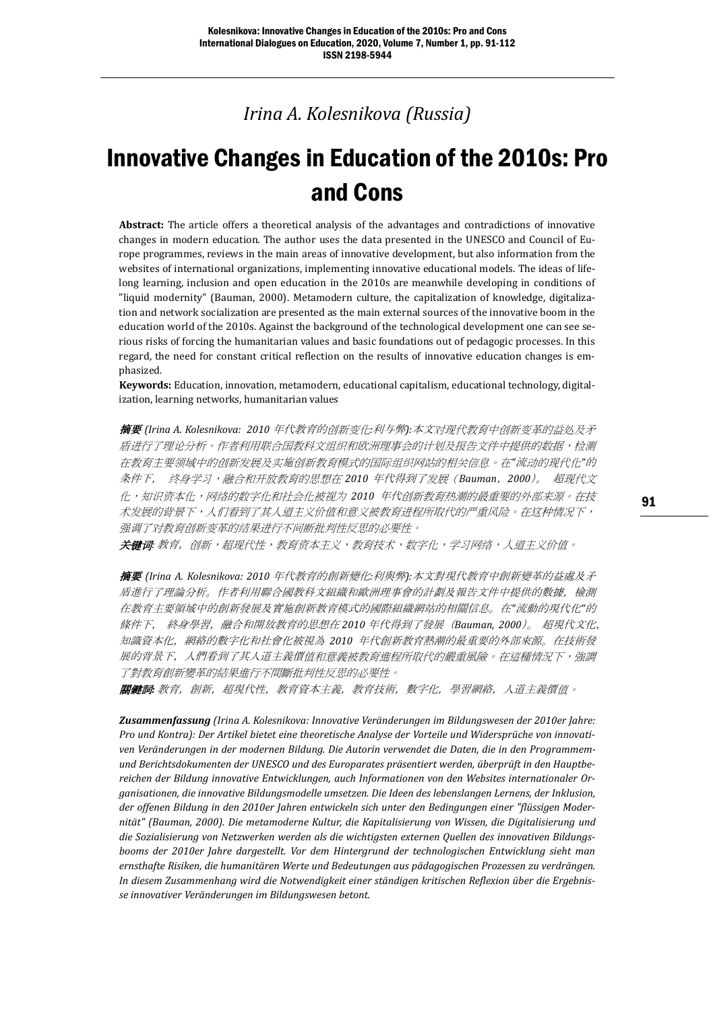*Irina A. Kolesnikova (Russia)*

# Innovative Changes in Education of the 2010s: Pro and Cons

**Abstract:** The article offers a theoretical analysis of the advantages and contradictions of innovative changes in modern education. The author uses the data presented in the UNESCO and Council of Europe programmes, reviews in the main areas of innovative development, but also information from the websites of international organizations, implementing innovative educational models. The ideas of lifelong learning, inclusion and open education in the 2010s are meanwhile developing in conditions of "liquid modernity" (Bauman, 2000). Metamodern culture, the capitalization of knowledge, digitalization and network socialization are presented as the main external sources of the innovative boom in the education world of the 2010s. Against the background of the technological development one can see serious risks of forcing the humanitarian values and basic foundations out of pedagogic processes. In this regard, the need for constant critical reflection on the results of innovative education changes is emphasized.

**Keywords:** Education, innovation, metamodern, educational capitalism, educational technology, digitalization, learning networks, humanitarian values

摘要 *(Irina A. Kolesnikova: 2010* 年代教育的创新变化*:*利与弊*):*本文对现代教育中创新变革的益处及矛 盾进行了理论分析。作者利用联合国教科文组织和欧洲理事会的计划及报告文件中提供的数据,检测 在教育主要领域中的创新发展及实施创新教育模式的国际组织网站的相关信息。在*"*流动的现代化*"*的 条件下, 终身学习,融合和开放教育的思想在 *2010* 年代得到了发展(*Bauman*,*2000*)。 超现代文 化,知识资本化,网络的数字化和社会化被视为 *2010* 年代创新教育热潮的最重要的外部来源。在技 术发展的背景下,人们看到了其人道主义价值和意义被教育进程所取代的严重风险。在这种情况下, 强调了对教育创新变革的结果进行不间断批判性反思的必要性。

关键词*:* 教育,创新,超现代性,教育资本主义,教育技术,数字化,学习网络,人道主义价值。

摘要 *(Irina A. Kolesnikova: 2010* 年代教育的創新變化*:*利與弊*):*本文對現代教育中創新變革的益處及矛 盾進行了理論分析。作者利用聯合國教科文組織和歐洲理事會的計劃及報告文件中提供的數據,檢測 在教育主要領域中的創新發展及實施創新教育模式的國際組織網站的相關信息。在*"*流動的現代化*"*的 條件下, 終身學習,融合和開放教育的思想在 *2010* 年代得到了發展(*Bauman, 2000*)。 超現代文化, 知識資本化,網絡的數字化和社會化被視為 *2010* 年代創新教育熱潮的最重要的外部來源。在技術發 展的背景下,人們看到了其人道主義價值和意義被教育進程所取代的嚴重風險。在這種情況下,強調 了對教育創新變革的結果進行不間斷批判性反思的必要性。

關鍵詞*:* 教育,創新,超現代性,教育資本主義,教育技術,數字化,學習網絡,人道主義價值。

*Zusammenfassung (Irina A. Kolesnikova: Innovative Veränderungen im Bildungswesen der 2010er Jahre: Pro und Kontra): Der Artikel bietet eine theoretische Analyse der Vorteile und Widersprüche von innovativen Veränderungen in der modernen Bildung. Die Autorin verwendet die Daten, die in den Programmemund Berichtsdokumenten der UNESCO und des Europarates präsentiert werden, überprüft in den Hauptbereichen der Bildung innovative Entwicklungen, auch Informationen von den Websites internationaler Organisationen, die innovative Bildungsmodelle umsetzen. Die Ideen des lebenslangen Lernens, der Inklusion, der offenen Bildung in den 2010er Jahren entwickeln sich unter den Bedingungen einer "flüssigen Modernität" (Bauman, 2000). Die metamoderne Kultur, die Kapitalisierung von Wissen, die Digitalisierung und die Sozialisierung von Netzwerken werden als die wichtigsten externen Quellen des innovativen Bildungsbooms der 2010er Jahre dargestellt. Vor dem Hintergrund der technologischen Entwicklung sieht man ernsthafte Risiken, die humanitären Werte und Bedeutungen aus pädagogischen Prozessen zu verdrängen. In diesem Zusammenhang wird die Notwendigkeit einer ständigen kritischen Reflexion über die Ergebnisse innovativer Veränderungen im Bildungswesen betont.*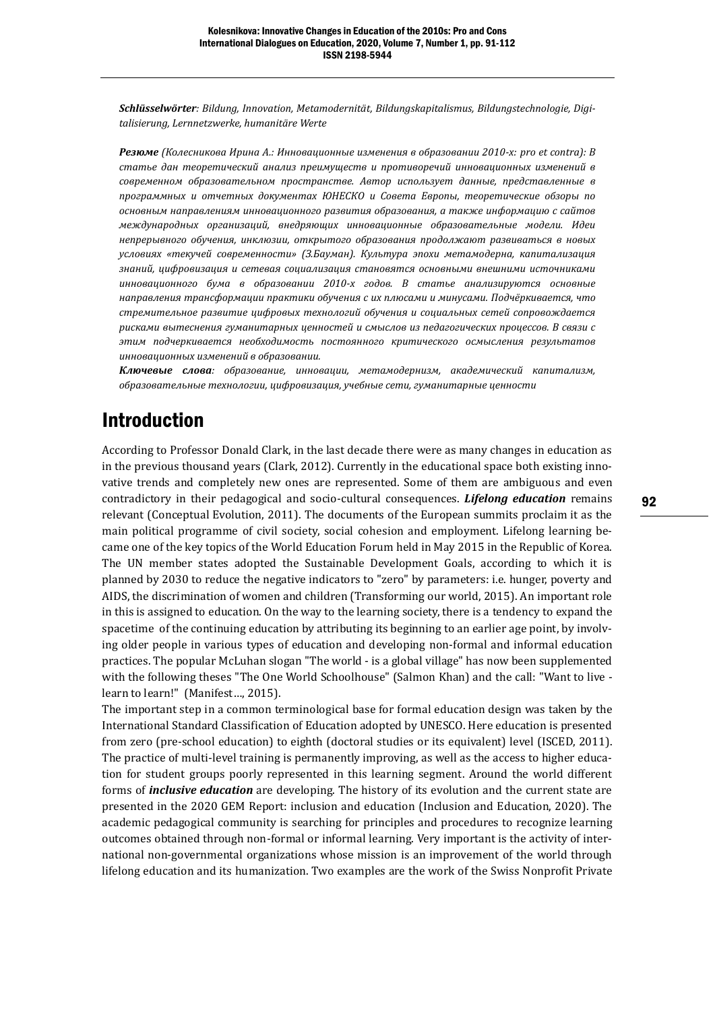*Schlüsselwörter: Bildung, Innovation, Metamodernität, Bildungskapitalismus, Bildungstechnologie, Digitalisierung, Lernnetzwerke, humanitäre Werte*

*Резюме (Колесникова Ирина А.: Инновационные изменения в образовании 2010-х: pro et contra): В статье дан теоретический анализ преимуществ и противоречий инновационных изменений в современном образовательном пространстве. Автор использует данные, представленные в программных и отчетных документах ЮНЕСКО и Совета Европы, теоретические обзоры по основным направлениям инновационного развития образования, а также информацию с сайтов международных организаций, внедряющих инновационные образовательные модели. Идеи непрерывного обучения, инклюзии, открытого образования продолжают развиваться в новых условиях «текучей современности» (З.Бауман). Культура эпохи метамодерна, капитализация знаний, цифровизация и сетевая социализация становятся основными внешними источниками инновационного бума в образовании 2010-х годов. В статье анализируются основные направления трансформации практики обучения с их плюсами и минусами. Подчёркивается, что стремительное развитие цифровых технологий обучения и социальных сетей сопровождается рисками вытеснения гуманитарных ценностей и смыслов из педагогических процессов. В связи с этим подчеркивается необходимость постоянного критического осмысления результатов инновационных изменений в образовании.*

*Ключевые слова: образование, инновации, метамодернизм, академический капитализм, образовательные технологии, цифровизация, учебные сети, гуманитарные ценности*

### Introduction

According to Professor Donald Clark, in the last decade there were as many changes in education as in the previous thousand years (Clark, 2012). Currently in the educational space both existing innovative trends and completely new ones are represented. Some of them are ambiguous and even contradictory in their pedagogical and socio-cultural consequences. *Lifelong education* remains relevant (Conceptual Evolution, 2011). The documents of the European summits proclaim it as the main political programme of civil society, social cohesion and employment. Lifelong learning became one of the key topics of the World Education Forum held in May 2015 in the Republic of Korea. The UN member states adopted the Sustainable Development Goals, according to which it is planned by 2030 to reduce the negative indicators to "zero" by parameters: i.e. hunger, poverty and AIDS, the discrimination of women and children (Transforming our world, 2015). An important role in this is assigned to education. On the way to the learning society, there is a tendency to expand the spacetime of the continuing education by attributing its beginning to an earlier age point, by involving older people in various types of education and developing non-formal and informal education practices. The popular McLuhan slogan "The world - is a global village" has now been supplemented with the following theses "The One World Schoolhouse" (Salmon Khan) and the call: "Want to live learn to learn!" (Manifest…, 2015).

The important step in a common terminological base for formal education design was taken by the International Standard Classification of Education adopted by UNESCO. Here education is presented from zero (pre-school education) to eighth (doctoral studies or its equivalent) level (ISCED, 2011). The practice of multi-level training is permanently improving, as well as the access to higher education for student groups poorly represented in this learning segment. Around the world different forms of *inclusive education* are developing. The history of its evolution and the current state are presented in the 2020 GEM Report: inclusion and education (Inclusion and Education, 2020). The academic pedagogical community is searching for principles and procedures to recognize learning outcomes obtained through non-formal or informal learning. Very important is the activity of international non-governmental organizations whose mission is an improvement of the world through lifelong education and its humanization. Two examples are the work of the Swiss Nonprofit Private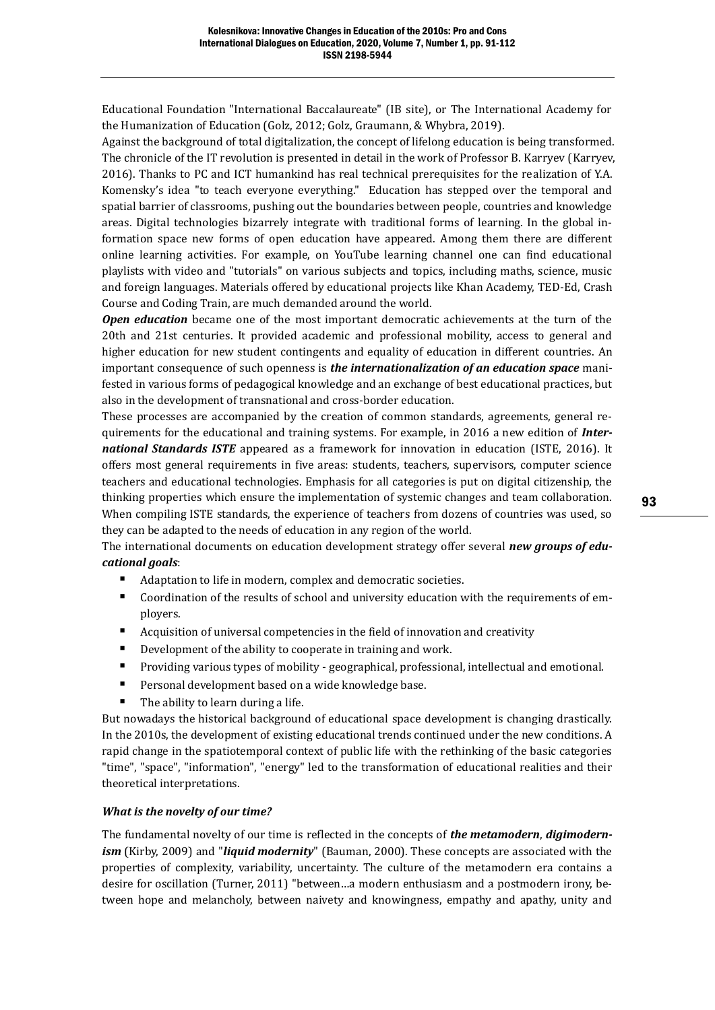Educational Foundation "International Baccalaureate" (IB site), or The International Academy for the Humanization of Education (Golz, 2012; Golz, Graumann, & Whybra, 2019).

Against the background of total digitalization, the concept of lifelong education is being transformed. The chronicle of the IT revolution is presented in detail in the work of Professor B. Karryev (Karryev, 2016). Thanks to PC and ICT humankind has real technical prerequisites for the realization of Y.A. Komensky's idea "to teach everyone everything." Education has stepped over the temporal and spatial barrier of classrooms, pushing out the boundaries between people, countries and knowledge areas. Digital technologies bizarrely integrate with traditional forms of learning. In the global information space new forms of open education have appeared. Among them there are different online learning activities. For example, on YouTube learning channel one can find educational playlists with video and "tutorials" on various subjects and topics, including maths, science, music and foreign languages. Materials offered by educational projects like Khan Academy, TED-Ed, Crash Course and Coding Train, are much demanded around the world.

*Open education* became one of the most important democratic achievements at the turn of the 20th and 21st centuries. It provided academic and professional mobility, access to general and higher education for new student contingents and equality of education in different countries. An important consequence of such openness is *the internationalization of an education space* manifested in various forms of pedagogical knowledge and an exchange of best educational practices, but also in the development of transnational and cross-border education.

These processes are accompanied by the creation of common standards, agreements, general requirements for the educational and training systems. For example, in 2016 a new edition of *International Standards ISTE* appeared as a framework for innovation in education (ISTE, 2016). It offers most general requirements in five areas: students, teachers, supervisors, computer science teachers and educational technologies. Emphasis for all categories is put on digital citizenship, the thinking properties which ensure the implementation of systemic changes and team collaboration. When compiling ISTE standards, the experience of teachers from dozens of countries was used, so they can be adapted to the needs of education in any region of the world.

The international documents on education development strategy offer several *new groups of educational goals*:

- Adaptation to life in modern, complex and democratic societies.
- Coordination of the results of school and university education with the requirements of employers.
- Acquisition of universal competencies in the field of innovation and creativity
- Development of the ability to cooperate in training and work.
- Providing various types of mobility geographical, professional, intellectual and emotional.
- Personal development based on a wide knowledge base.
- The ability to learn during a life.

But nowadays the historical background of educational space development is changing drastically. In the 2010s, the development of existing educational trends continued under the new conditions. A rapid change in the spatiotemporal context of public life with the rethinking of the basic categories "time", "space", "information", "energy" led to the transformation of educational realities and their theoretical interpretations.

### *What is the novelty of our time?*

The fundamental novelty of our time is reflected in the concepts of *the metamodern*, *digimodernism* (Kirby, 2009) and "*liquid modernity*" (Bauman, 2000). These concepts are associated with the properties of complexity, variability, uncertainty. The culture of the metamodern era contains a desire for oscillation (Turner, 2011) "between…a modern enthusiasm and a postmodern irony, between hope and melancholy, between naivety and knowingness, empathy and apathy, unity and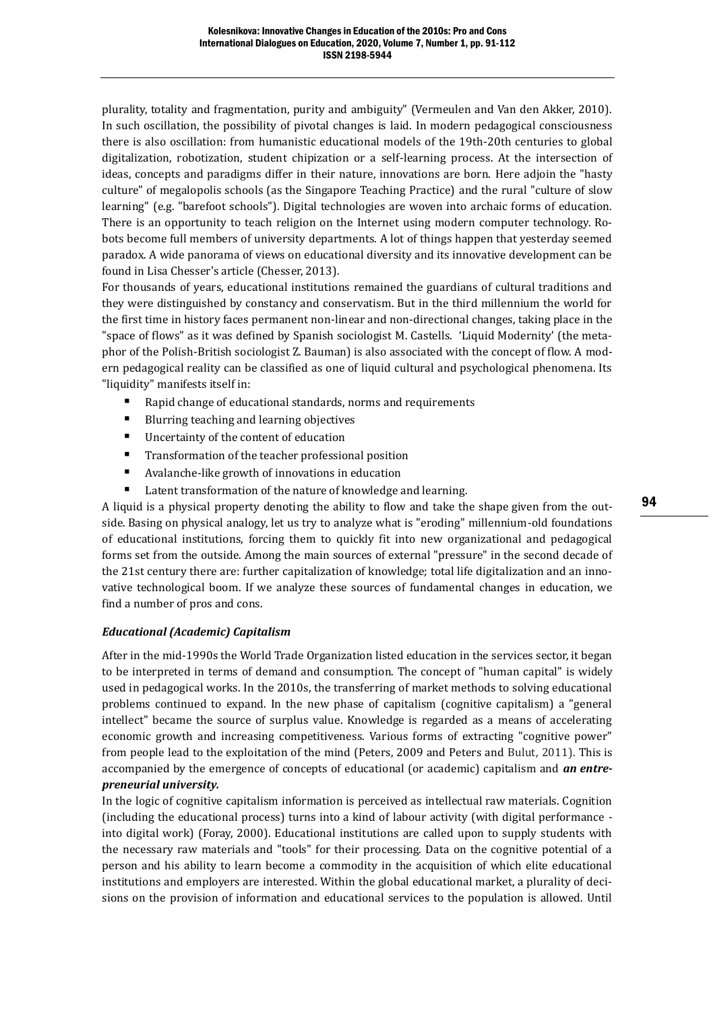plurality, totality and fragmentation, purity and ambiguity" (Vermeulen and Van den Akker, 2010). In such oscillation, the possibility of pivotal changes is laid. In modern pedagogical consciousness there is also oscillation: from humanistic educational models of the 19th-20th centuries to global digitalization, robotization, student chipization or a self-learning process. At the intersection of ideas, concepts and paradigms differ in their nature, innovations are born. Here adjoin the "hasty culture" of megalopolis schools (as the Singapore Teaching Practice) and the rural "culture of slow learning" (e.g. "barefoot schools"). Digital technologies are woven into archaic forms of education. There is an opportunity to teach religion on the Internet using modern computer technology. Robots become full members of university departments. A lot of things happen that yesterday seemed paradox. A wide panorama of views on educational diversity and its innovative development can be found in Lisa Chesser's article (Chesser, 2013).

For thousands of years, educational institutions remained the guardians of cultural traditions and they were distinguished by constancy and conservatism. But in the third millennium the world for the first time in history faces permanent non-linear and non-directional changes, taking place in the "space of flows" as it was defined by Spanish sociologist M. Castells. 'Liquid Modernity' (the metaphor of the Polish-British sociologist Z. Bauman) is also associated with the concept of flow. A modern pedagogical reality can be classified as one of liquid cultural and psychological phenomena. Its "liquidity" manifests itself in:

- Rapid change of educational standards, norms and requirements
- Blurring teaching and learning objectives
- Uncertainty of the content of education
- Transformation of the teacher professional position
- Avalanche-like growth of innovations in education
- Latent transformation of the nature of knowledge and learning.

A liquid is a physical property denoting the ability to flow and take the shape given from the outside. Basing on physical analogy, let us try to analyze what is "eroding" millennium-old foundations of educational institutions, forcing them to quickly fit into new organizational and pedagogical forms set from the outside. Among the main sources of external "pressure" in the second decade of the 21st century there are: further capitalization of knowledge; total life digitalization and an innovative technological boom. If we analyze these sources of fundamental changes in education, we find a number of pros and cons.

### *Educational (Academic) Capitalism*

After in the mid-1990s the World Trade Organization listed education in the services sector, it began to be interpreted in terms of demand and consumption. The concept of "human capital" is widely used in pedagogical works. In the 2010s, the transferring of market methods to solving educational problems continued to expand. In the new phase of capitalism (cognitive capitalism) a "general intellect" became the source of surplus value. Knowledge is regarded as a means of accelerating economic growth and increasing competitiveness. Various forms of extracting "cognitive power" from people lead to the exploitation of the mind (Peters, 2009 and Peters and Bulut, 2011). This is accompanied by the emergence of concepts of educational (or academic) capitalism and *an entrepreneurial university.*

In the logic of cognitive capitalism information is perceived as intellectual raw materials. Cognition (including the educational process) turns into a kind of labour activity (with digital performance into digital work) (Foray, 2000). Educational institutions are called upon to supply students with the necessary raw materials and "tools" for their processing. Data on the cognitive potential of a person and his ability to learn become a commodity in the acquisition of which elite educational institutions and employers are interested. Within the global educational market, a plurality of decisions on the provision of information and educational services to the population is allowed. Until

94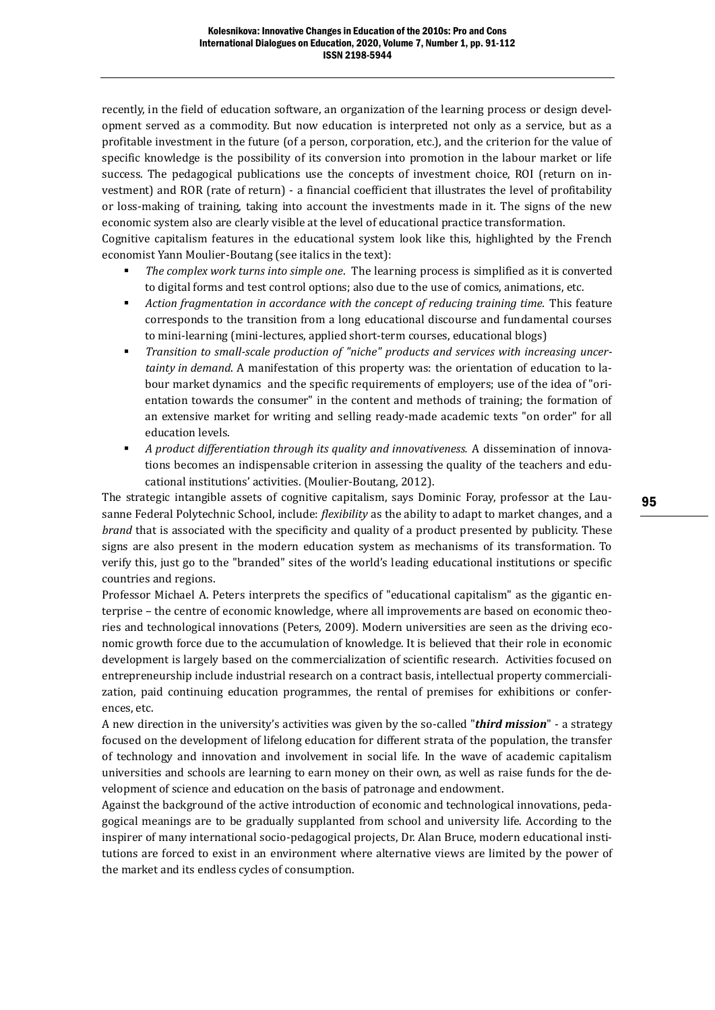recently, in the field of education software, an organization of the learning process or design development served as a commodity. But now education is interpreted not only as a service, but as a profitable investment in the future (of a person, corporation, etc.), and the criterion for the value of specific knowledge is the possibility of its conversion into promotion in the labour market or life success. The pedagogical publications use the concepts of investment choice, ROI (return on investment) and ROR (rate of return) - a financial coefficient that illustrates the level of profitability or loss-making of training, taking into account the investments made in it. The signs of the new economic system also are clearly visible at the level of educational practice transformation.

Cognitive capitalism features in the educational system look like this, highlighted by the French economist Yann Moulier-Boutang (see italics in the text):

- *The complex work turns into simple one*. The learning process is simplified as it is converted to digital forms and test control options; also due to the use of comics, animations, etc.
- Action fragmentation in accordance with the concept of reducing training time. This feature corresponds to the transition from a long educational discourse and fundamental courses to mini-learning (mini-lectures, applied short-term courses, educational blogs)
- *Transition to small-scale production of "niche" products and services with increasing uncertainty in demand*. A manifestation of this property was: the orientation of education to labour market dynamics and the specific requirements of employers; use of the idea of "orientation towards the consumer" in the content and methods of training; the formation of an extensive market for writing and selling ready-made academic texts "on order" for all education levels.
- *A product differentiation through its quality and innovativeness.* A dissemination of innovations becomes an indispensable criterion in assessing the quality of the teachers and educational institutions' activities. (Moulier-Boutang, 2012).

The strategic intangible assets of cognitive capitalism, says Dominic Foray, professor at the Lausanne Federal Polytechnic School, include: *flexibility* as the ability to adapt to market changes, and a *brand* that is associated with the specificity and quality of a product presented by publicity. These signs are also present in the modern education system as mechanisms of its transformation. To verify this, just go to the "branded" sites of the world's leading educational institutions or specific countries and regions.

Professor Michael A. Peters interprets the specifics of "educational capitalism" as the gigantic enterprise – the centre of economic knowledge, where all improvements are based on economic theories and technological innovations (Peters, 2009). Modern universities are seen as the driving economic growth force due to the accumulation of knowledge. It is believed that their role in economic development is largely based on the commercialization of scientific research. Activities focused on entrepreneurship include industrial research on a contract basis, intellectual property commercialization, paid continuing education programmes, the rental of premises for exhibitions or conferences, etc.

A new direction in the university's activities was given by the so-called "*third mission*" - a strategy focused on the development of lifelong education for different strata of the population, the transfer of technology and innovation and involvement in social life. In the wave of academic capitalism universities and schools are learning to earn money on their own, as well as raise funds for the development of science and education on the basis of patronage and endowment.

Against the background of the active introduction of economic and technological innovations, pedagogical meanings are to be gradually supplanted from school and university life. According to the inspirer of many international socio-pedagogical projects, Dr. Alan Bruce, modern educational institutions are forced to exist in an environment where alternative views are limited by the power of the market and its endless cycles of consumption.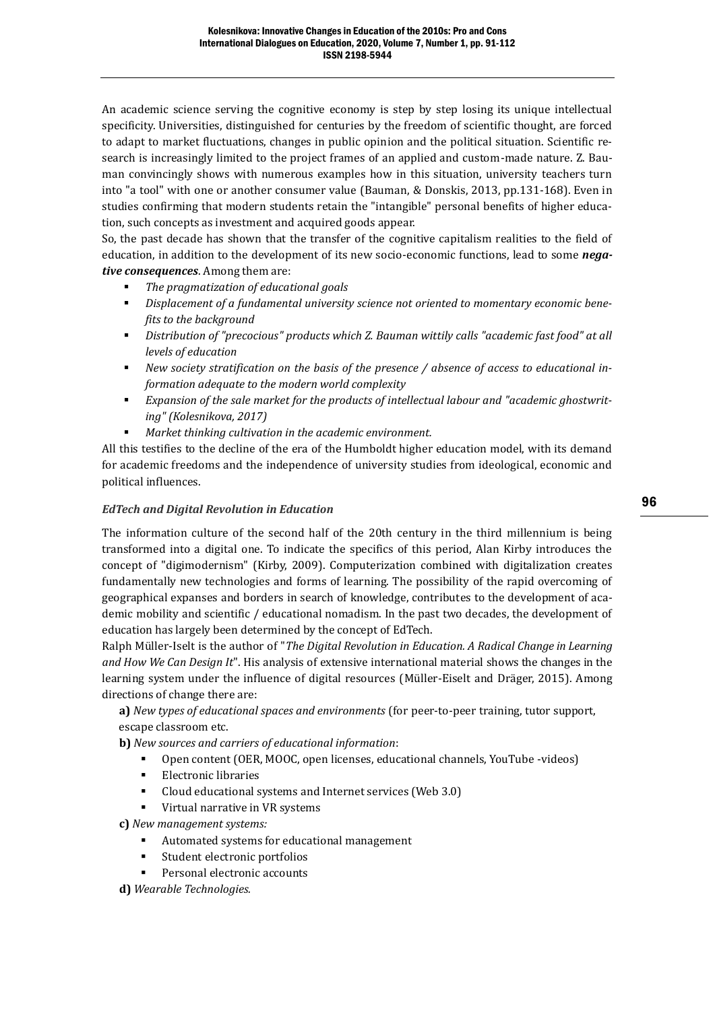An academic science serving the cognitive economy is step by step losing its unique intellectual specificity. Universities, distinguished for centuries by the freedom of scientific thought, are forced to adapt to market fluctuations, changes in public opinion and the political situation. Scientific research is increasingly limited to the project frames of an applied and custom-made nature. Z. Bauman convincingly shows with numerous examples how in this situation, university teachers turn into "a tool" with one or another consumer value (Bauman, & Donskis, 2013, pp.131-168). Even in studies confirming that modern students retain the "intangible" personal benefits of higher education, such concepts as investment and acquired goods appear.

So, the past decade has shown that the transfer of the cognitive capitalism realities to the field of education, in addition to the development of its new socio-economic functions, lead to some *negative consequences*. Among them are:

- *The pragmatization of educational goals*
- *Displacement of a fundamental university science not oriented to momentary economic benefits to the background*
- *Distribution of "precocious" products which Z. Bauman wittily calls "academic fast food" at all levels of education*
- *New society stratification on the basis of the presence / absence of access to educational information adequate to the modern world complexity*
- Expansion of the sale market for the products of intellectual labour and "academic ghostwrit*ing" (Kolesnikova, 2017)*
- *Market thinking cultivation in the academic environment.*

All this testifies to the decline of the era of the Humboldt higher education model, with its demand for academic freedoms and the independence of university studies from ideological, economic and political influences.

### *EdTech and Digital Revolution in Education*

The information culture of the second half of the 20th century in the third millennium is being transformed into a digital one. To indicate the specifics of this period, Alan Kirby introduces the concept of "digimodernism" (Kirby, 2009). Computerization combined with digitalization creates fundamentally new technologies and forms of learning. The possibility of the rapid overcoming of geographical expanses and borders in search of knowledge, contributes to the development of academic mobility and scientific / educational nomadism. In the past two decades, the development of education has largely been determined by the concept of EdTech.

Ralph Müller-Iselt is the author of "*The Digital Revolution in Education. A Radical Change in Learning and How We Can Design It*". His analysis of extensive international material shows the changes in the learning system under the influence of digital resources (Müller-Eiselt and Dräger, 2015). Among directions of change there are:

**a)** *New types of educational spaces and environments* (for peer-to-peer training, tutor support, escape classroom etc.

- **b)** *New sources and carriers of educational information*:
	- Open content (OER, MOOC, open licenses, educational channels, YouTube -videos)
	- **Electronic libraries**
	- Cloud educational systems and Internet services (Web 3.0)
	- Virtual narrative in VR systems

**c)** *New management systems:*

- Automated systems for educational management
- Student electronic portfolios
- Personal electronic accounts

**d)** *Wearable Technologies.*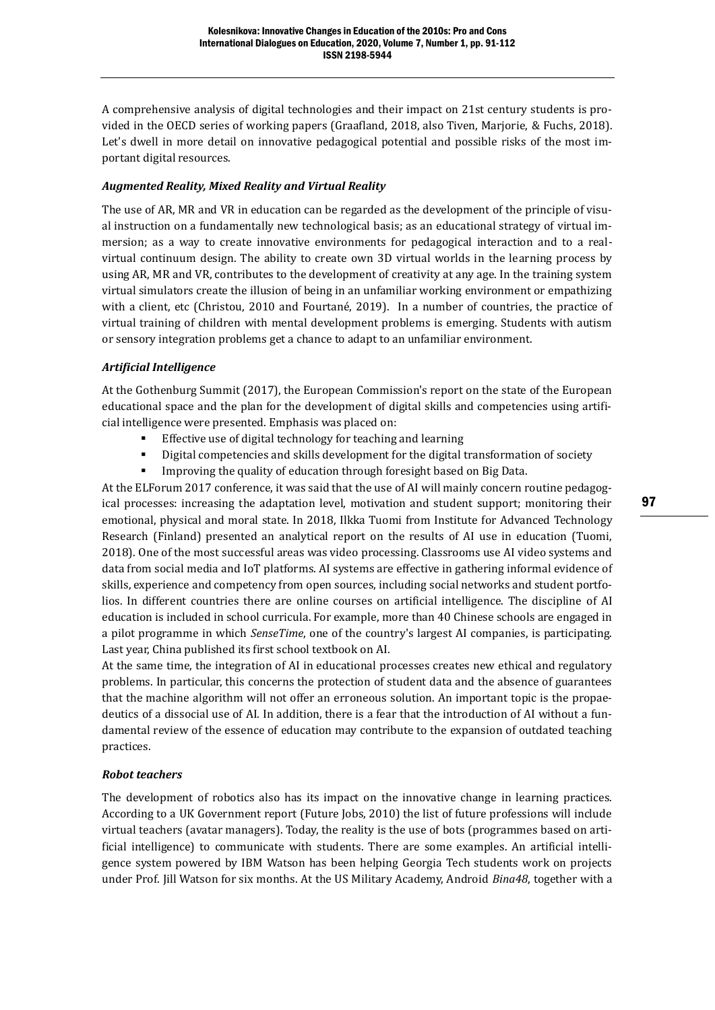A comprehensive analysis of digital technologies and their impact on 21st century students is provided in the OECD series of working papers (Graafland, 2018, also Tiven, Marjorie, & Fuchs, 2018). Let's dwell in more detail on innovative pedagogical potential and possible risks of the most important digital resources.

### *Augmented Reality, Mixed Reality and Virtual Reality*

The use of AR, MR and VR in education can be regarded as the development of the principle of visual instruction on a fundamentally new technological basis; as an educational strategy of virtual immersion; as a way to create innovative environments for pedagogical interaction and to a realvirtual continuum design. The ability to create own 3D virtual worlds in the learning process by using AR, MR and VR, contributes to the development of creativity at any age. In the training system virtual simulators create the illusion of being in an unfamiliar working environment or empathizing with a client, etc (Christou, 2010 and Fourtané, 2019). In a number of countries, the practice of virtual training of children with mental development problems is emerging. Students with autism or sensory integration problems get a chance to adapt to an unfamiliar environment.

### *Artificial Intelligence*

At the Gothenburg Summit (2017), the European Commission's report on the state of the European educational space and the plan for the development of digital skills and competencies using artificial intelligence were presented. Emphasis was placed on:

- Effective use of digital technology for teaching and learning
- Digital competencies and skills development for the digital transformation of society
- Improving the quality of education through foresight based on Big Data.

At the ELForum 2017 conference, it was said that the use of AI will mainly concern routine pedagogical processes: increasing the adaptation level, motivation and student support; monitoring their emotional, physical and moral state. In 2018, Ilkka Tuomi from Institute for Advanced Technology Research (Finland) presented an analytical report on the results of AI use in education (Tuomi, 2018). One of the most successful areas was video processing. Classrooms use AI video systems and data from social media and IoT platforms. AI systems are effective in gathering informal evidence of skills, experience and competency from open sources, including social networks and student portfolios. In different countries there are online courses on artificial intelligence. The discipline of AI education is included in school curricula. For example, more than 40 Chinese schools are engaged in a pilot programme in which *SenseTime*, one of the country's largest AI companies, is participating. Last year, China published its first school textbook on AI.

At the same time, the integration of AI in educational processes creates new ethical and regulatory problems. In particular, this concerns the protection of student data and the absence of guarantees that the machine algorithm will not offer an erroneous solution. An important topic is the propaedeutics of a dissocial use of AI. In addition, there is a fear that the introduction of AI without a fundamental review of the essence of education may contribute to the expansion of outdated teaching practices.

### *Robot teachers*

The development of robotics also has its impact on the innovative change in learning practices. According to a UK Government report (Future Jobs, 2010) the list of future professions will include virtual teachers (avatar managers). Today, the reality is the use of bots (programmes based on artificial intelligence) to communicate with students. There are some examples. An artificial intelligence system powered by IBM Watson has been helping Georgia Tech students work on projects under Prof. Jill Watson for six months. At the US Military Academy, Android *Bina48*, together with a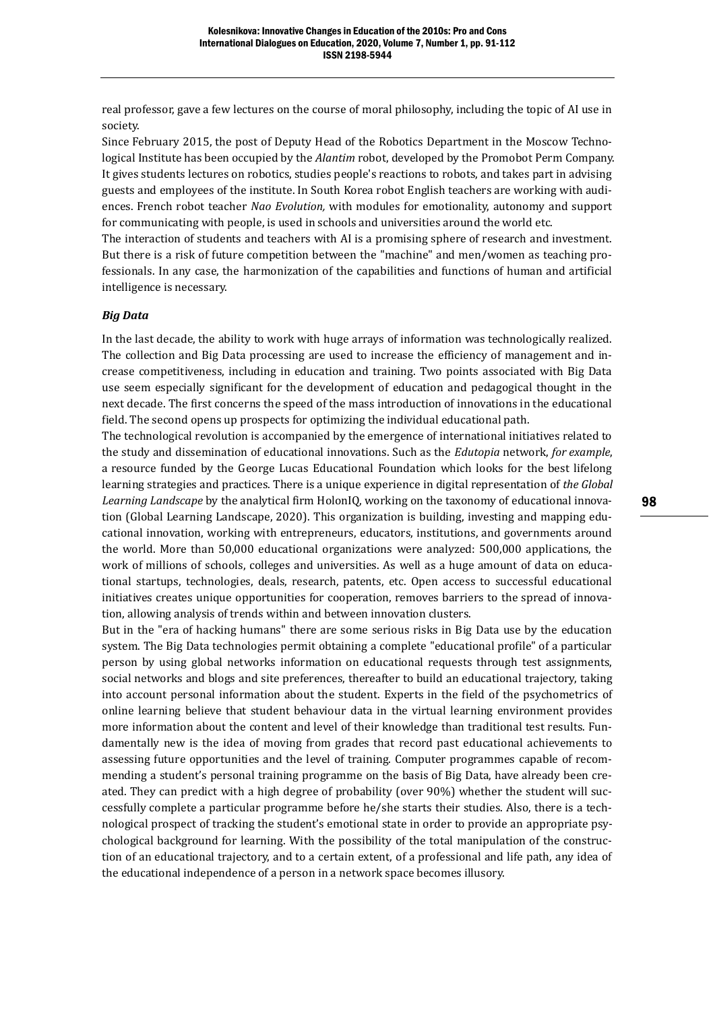real professor, gave a few lectures on the course of moral philosophy, including the topic of AI use in society.

Since February 2015, the post of Deputy Head of the Robotics Department in the Moscow Technological Institute has been occupied by the *Alantim* robot, developed by the Promobot Perm Company. It gives students lectures on robotics, studies people's reactions to robots, and takes part in advising guests and employees of the institute. In South Korea robot English teachers are working with audiences. French robot teacher *Nao Evolution,* with modules for emotionality, autonomy and support for communicating with people, is used in schools and universities around the world etc.

The interaction of students and teachers with AI is a promising sphere of research and investment. But there is a risk of future competition between the "machine" and men/women as teaching professionals. In any case, the harmonization of the capabilities and functions of human and artificial intelligence is necessary.

#### *Big Data*

In the last decade, the ability to work with huge arrays of information was technologically realized. The collection and Big Data processing are used to increase the efficiency of management and increase competitiveness, including in education and training. Two points associated with Big Data use seem especially significant for the development of education and pedagogical thought in the next decade. The first concerns the speed of the mass introduction of innovations in the educational field. The second opens up prospects for optimizing the individual educational path.

The technological revolution is accompanied by the emergence of international initiatives related to the study and dissemination of educational innovations. Such as the *Edutopia* network, *for example*, a resource funded by the George Lucas Educational Foundation which looks for the best lifelong learning strategies and practices. There is a unique experience in digital representation of *the Global Learning Landscape* by the analytical firm HolonIQ, working on the taxonomy of educational innovation (Global Learning Landscape, 2020). This organization is building, investing and mapping educational innovation, working with entrepreneurs, educators, institutions, and governments around the world. More than 50,000 educational organizations were analyzed: 500,000 applications, the work of millions of schools, colleges and universities. As well as a huge amount of data on educational startups, technologies, deals, research, patents, etc. Open access to successful educational initiatives creates unique opportunities for cooperation, removes barriers to the spread of innovation, allowing analysis of trends within and between innovation clusters.

But in the "era of hacking humans" there are some serious risks in Big Data use by the education system. The Big Data technologies permit obtaining a complete "educational profile" of a particular person by using global networks information on educational requests through test assignments, social networks and blogs and site preferences, thereafter to build an educational trajectory, taking into account personal information about the student. Experts in the field of the psychometrics of online learning believe that student behaviour data in the virtual learning environment provides more information about the content and level of their knowledge than traditional test results. Fundamentally new is the idea of moving from grades that record past educational achievements to assessing future opportunities and the level of training. Computer programmes capable of recommending a student's personal training programme on the basis of Big Data, have already been created. They can predict with a high degree of probability (over 90%) whether the student will successfully complete a particular programme before he/she starts their studies. Also, there is a technological prospect of tracking the student's emotional state in order to provide an appropriate psychological background for learning. With the possibility of the total manipulation of the construction of an educational trajectory, and to a certain extent, of a professional and life path, any idea of the educational independence of a person in a network space becomes illusory.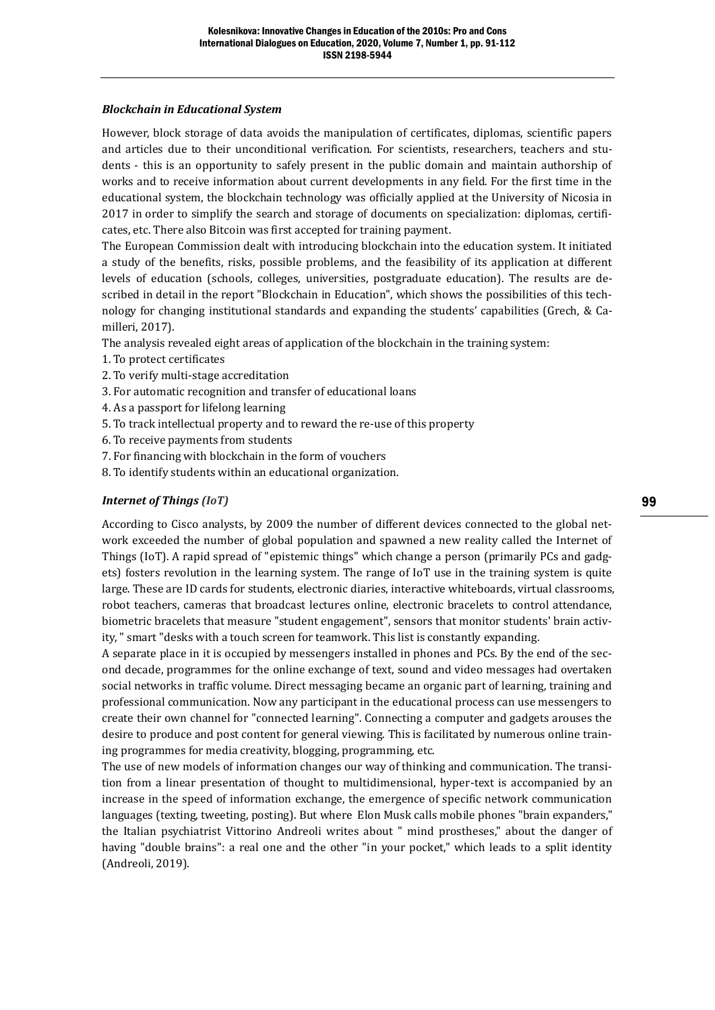#### *Blockchain in Educational System*

However, block storage of data avoids the manipulation of certificates, diplomas, scientific papers and articles due to their unconditional verification. For scientists, researchers, teachers and students - this is an opportunity to safely present in the public domain and maintain authorship of works and to receive information about current developments in any field. For the first time in the educational system, the blockchain technology was officially applied at the University of Nicosia in 2017 in order to simplify the search and storage of documents on specialization: diplomas, certificates, etc. There also Bitcoin was first accepted for training payment.

The European Commission dealt with introducing blockchain into the education system. It initiated a study of the benefits, risks, possible problems, and the feasibility of its application at different levels of education (schools, colleges, universities, postgraduate education). The results are described in detail in the report "Blockchain in Education", which shows the possibilities of this technology for changing institutional standards and expanding the students' capabilities (Grech, & Camilleri, 2017).

The analysis revealed eight areas of application of the blockchain in the training system:

- 1. To protect certificates
- 2. To verify multi-stage accreditation
- 3. For automatic recognition and transfer of educational loans
- 4. As a passport for lifelong learning
- 5. To track intellectual property and to reward the re-use of this property
- 6. To receive payments from students
- 7. For financing with blockchain in the form of vouchers
- 8. To identify students within an educational organization.

### *Internet of Things (IoT)*

According to Cisco analysts, by 2009 the number of different devices connected to the global network exceeded the number of global population and spawned a new reality called the Internet of Things (IoT). A rapid spread of "epistemic things" which change a person (primarily PCs and gadgets) fosters revolution in the learning system. The range of IoT use in the training system is quite large. These are ID cards for students, electronic diaries, interactive whiteboards, virtual classrooms, robot teachers, cameras that broadcast lectures online, electronic bracelets to control attendance, biometric bracelets that measure "student engagement", sensors that monitor students' brain activity, " smart "desks with a touch screen for teamwork. This list is constantly expanding.

A separate place in it is occupied by messengers installed in phones and PCs. By the end of the second decade, programmes for the online exchange of text, sound and video messages had overtaken social networks in traffic volume. Direct messaging became an organic part of learning, training and professional communication. Now any participant in the educational process can use messengers to create their own channel for "connected learning". Connecting a computer and gadgets arouses the desire to produce and post content for general viewing. This is facilitated by numerous online training programmes for media creativity, blogging, programming, etc.

The use of new models of information changes our way of thinking and communication. The transition from a linear presentation of thought to multidimensional, hyper-text is accompanied by an increase in the speed of information exchange, the emergence of specific network communication languages (texting, tweeting, posting). But where Elon Musk calls mobile phones "brain expanders," the Italian psychiatrist Vittorino Andreoli writes about " mind prostheses," about the danger of having "double brains": a real one and the other "in your pocket," which leads to a split identity (Andreoli, 2019).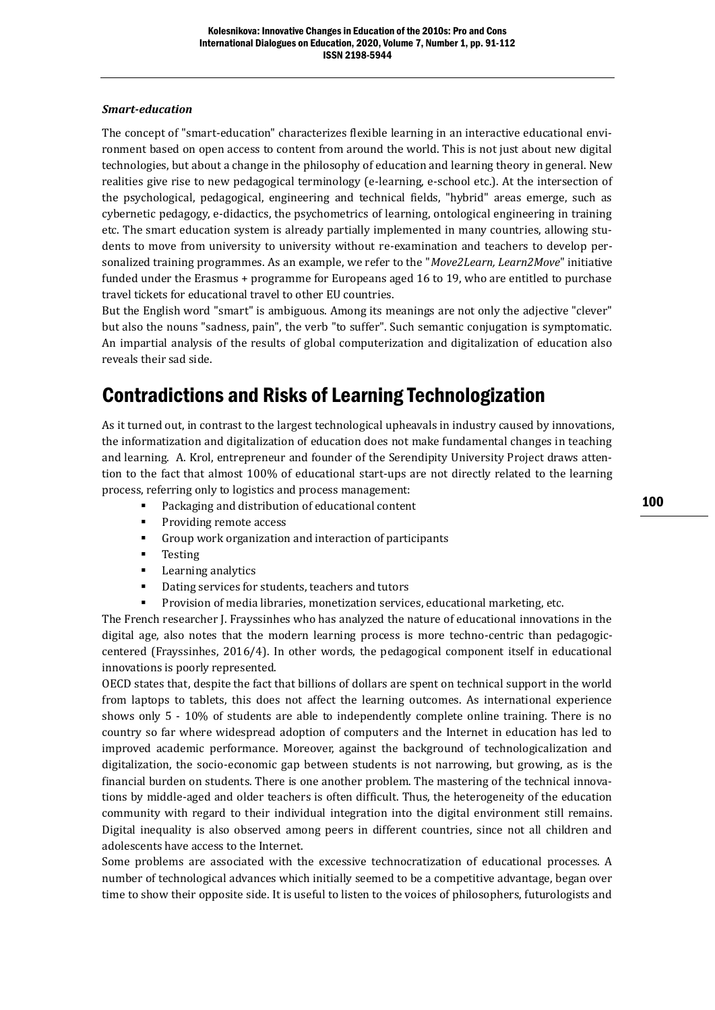#### *Smart-education*

The concept of "smart-education" characterizes flexible learning in an interactive educational environment based on open access to content from around the world. This is not just about new digital technologies, but about a change in the philosophy of education and learning theory in general. New realities give rise to new pedagogical terminology (e-learning, e-school etc.). At the intersection of the psychological, pedagogical, engineering and technical fields, "hybrid" areas emerge, such as cybernetic pedagogy, e-didactics, the psychometrics of learning, ontological engineering in training etc. The smart education system is already partially implemented in many countries, allowing students to move from university to university without re-examination and teachers to develop personalized training programmes. As an example, we refer to the "*Move2Learn, Learn2Move*" initiative funded under the Erasmus + programme for Europeans aged 16 to 19, who are entitled to purchase travel tickets for educational travel to other EU countries.

But the English word "smart" is ambiguous. Among its meanings are not only the adjective "clever" but also the nouns "sadness, pain", the verb "to suffer". Such semantic conjugation is symptomatic. An impartial analysis of the results of global computerization and digitalization of education also reveals their sad side.

### Contradictions and Risks of Learning Technologization

As it turned out, in contrast to the largest technological upheavals in industry caused by innovations, the informatization and digitalization of education does not make fundamental changes in teaching and learning. A. Krol, entrepreneur and founder of the Serendipity University Project draws attention to the fact that almost 100% of educational start-ups are not directly related to the learning process, referring only to logistics and process management:

- Packaging and distribution of educational content
- Providing remote access
- Group work organization and interaction of participants
- Testing
- Learning analytics
- Dating services for students, teachers and tutors
- Provision of media libraries, monetization services, educational marketing, etc.

The French researcher J. Frayssinhes who has analyzed the nature of educational innovations in the digital age, also notes that the modern learning process is more techno-centric than pedagogiccentered (Frayssinhes, 2016/4). In other words, the pedagogical component itself in educational innovations is poorly represented.

OECD states that, despite the fact that billions of dollars are spent on technical support in the world from laptops to tablets, this does not affect the learning outcomes. As international experience shows only 5 - 10% of students are able to independently complete online training. There is no country so far where widespread adoption of computers and the Internet in education has led to improved academic performance. Moreover, against the background of technologicalization and digitalization, the socio-economic gap between students is not narrowing, but growing, as is the financial burden on students. There is one another problem. The mastering of the technical innovations by middle-aged and older teachers is often difficult. Thus, the heterogeneity of the education community with regard to their individual integration into the digital environment still remains. Digital inequality is also observed among peers in different countries, since not all children and adolescents have access to the Internet.

Some problems are associated with the excessive technocratization of educational processes. A number of technological advances which initially seemed to be a competitive advantage, began over time to show their opposite side. It is useful to listen to the voices of philosophers, futurologists and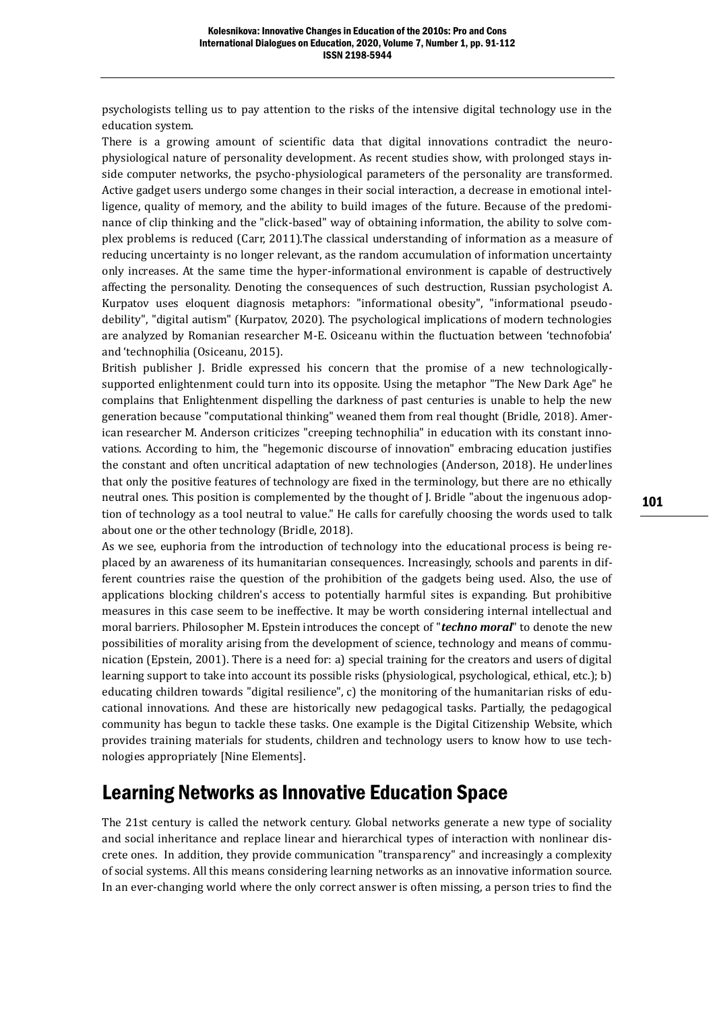psychologists telling us to pay attention to the risks of the intensive digital technology use in the education system.

There is a growing amount of scientific data that digital innovations contradict the neurophysiological nature of personality development. As recent studies show, with prolonged stays inside computer networks, the psycho-physiological parameters of the personality are transformed. Active gadget users undergo some changes in their social interaction, a decrease in emotional intelligence, quality of memory, and the ability to build images of the future. Because of the predominance of clip thinking and the "click-based" way of obtaining information, the ability to solve complex problems is reduced (Carr, 2011).The classical understanding of information as a measure of reducing uncertainty is no longer relevant, as the random accumulation of information uncertainty only increases. At the same time the hyper-informational environment is capable of destructively affecting the personality. Denoting the consequences of such destruction, Russian psychologist A. Kurpatov uses eloquent diagnosis metaphors: "informational obesity", "informational pseudodebility", "digital autism" (Kurpatov, 2020). The psychological implications of modern technologies are analyzed by Romanian researcher M-E. Osiceanu within the fluctuation between 'technofobia' and 'technophilia (Osiceanu, 2015).

British publisher J. Bridle expressed his concern that the promise of a new technologicallysupported enlightenment could turn into its opposite. Using the metaphor "The New Dark Age" he complains that Enlightenment dispelling the darkness of past centuries is unable to help the new generation because "computational thinking" weaned them from real thought (Bridle, 2018). American researcher M. Anderson criticizes "creeping technophilia" in education with its constant innovations. According to him, the "hegemonic discourse of innovation" embracing education justifies the constant and often uncritical adaptation of new technologies (Anderson, 2018). He underlines that only the positive features of technology are fixed in the terminology, but there are no ethically neutral ones. This position is complemented by the thought of J. Bridle "about the ingenuous adoption of technology as a tool neutral to value." He calls for carefully choosing the words used to talk about one or the other technology (Bridle, 2018).

As we see, euphoria from the introduction of technology into the educational process is being replaced by an awareness of its humanitarian consequences. Increasingly, schools and parents in different countries raise the question of the prohibition of the gadgets being used. Also, the use of applications blocking children's access to potentially harmful sites is expanding. But prohibitive measures in this case seem to be ineffective. It may be worth considering internal intellectual and moral barriers. Philosopher M. Epstein introduces the concept of "*techno moral*" to denote the new possibilities of morality arising from the development of science, technology and means of communication (Epstein, 2001). There is a need for: a) special training for the creators and users of digital learning support to take into account its possible risks (physiological, psychological, ethical, etc.); b) educating children towards "digital resilience", c) the monitoring of the humanitarian risks of educational innovations. And these are historically new pedagogical tasks. Partially, the pedagogical community has begun to tackle these tasks. One example is the Digital Citizenship Website, which provides training materials for students, children and technology users to know how to use technologies appropriately [Nine Elements].

### Learning Networks as Innovative Education Space

The 21st century is called the network century. Global networks generate a new type of sociality and social inheritance and replace linear and hierarchical types of interaction with nonlinear discrete ones. In addition, they provide communication "transparency" and increasingly a complexity of social systems. All this means considering learning networks as an innovative information source. In an ever-changing world where the only correct answer is often missing, a person tries to find the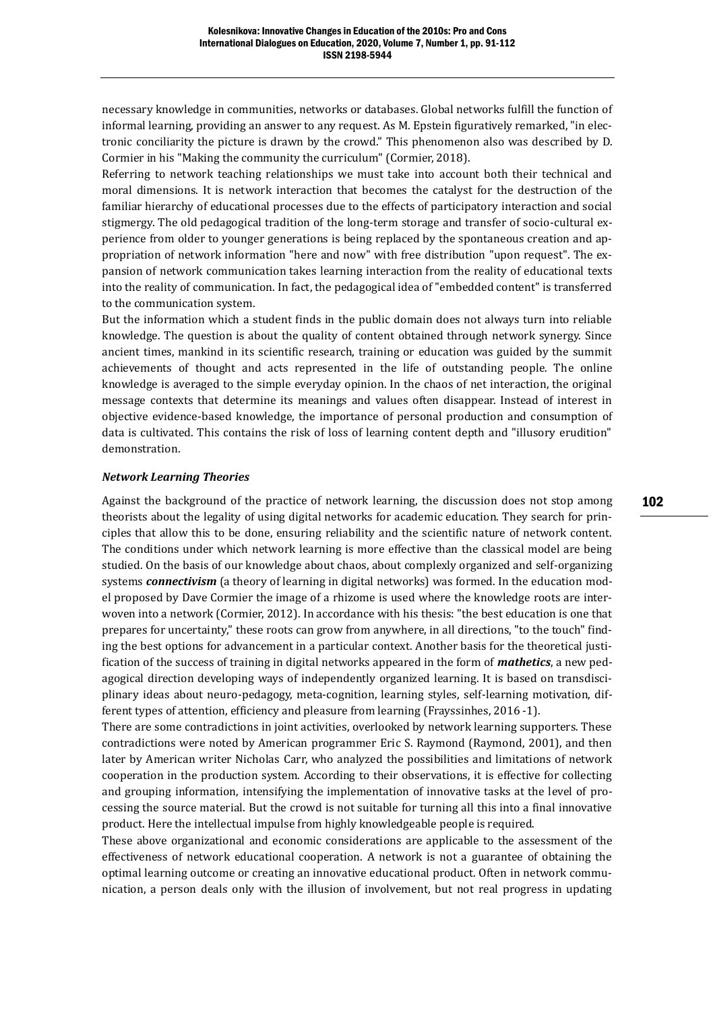necessary knowledge in communities, networks or databases. Global networks fulfill the function of informal learning, providing an answer to any request. As M. Epstein figuratively remarked, "in electronic conciliarity the picture is drawn by the crowd." This phenomenon also was described by D. Cormier in his "Making the community the curriculum" (Cormier, 2018).

Referring to network teaching relationships we must take into account both their technical and moral dimensions. It is network interaction that becomes the catalyst for the destruction of the familiar hierarchy of educational processes due to the effects of participatory interaction and social stigmergy. The old pedagogical tradition of the long-term storage and transfer of socio-cultural experience from older to younger generations is being replaced by the spontaneous creation and appropriation of network information "here and now" with free distribution "upon request". The expansion of network communication takes learning interaction from the reality of educational texts into the reality of communication. In fact, the pedagogical idea of "embedded content" is transferred to the communication system.

But the information which a student finds in the public domain does not always turn into reliable knowledge. The question is about the quality of content obtained through network synergy. Since ancient times, mankind in its scientific research, training or education was guided by the summit achievements of thought and acts represented in the life of outstanding people. The online knowledge is averaged to the simple everyday opinion. In the chaos of net interaction, the original message contexts that determine its meanings and values often disappear. Instead of interest in objective evidence-based knowledge, the importance of personal production and consumption of data is cultivated. This contains the risk of loss of learning content depth and "illusory erudition" demonstration.

#### *Network Learning Theories*

Against the background of the practice of network learning, the discussion does not stop among theorists about the legality of using digital networks for academic education. They search for principles that allow this to be done, ensuring reliability and the scientific nature of network content. The conditions under which network learning is more effective than the classical model are being studied. On the basis of our knowledge about chaos, about complexly organized and self-organizing systems *connectivism* (a theory of learning in digital networks) was formed. In the education model proposed by Dave Cormier the image of a rhizome is used where the knowledge roots are interwoven into a network (Cormier, 2012). In accordance with his thesis: "the best education is one that prepares for uncertainty," these roots can grow from anywhere, in all directions, "to the touch" finding the best options for advancement in a particular context. Another basis for the theoretical justification of the success of training in digital networks appeared in the form of *mathetics*, a new pedagogical direction developing ways of independently organized learning. It is based on transdisciplinary ideas about neuro-pedagogy, meta-cognition, learning styles, self-learning motivation, different types of attention, efficiency and pleasure from learning (Frayssinhes, 2016 -1).

There are some contradictions in joint activities, overlooked by network learning supporters. These contradictions were noted by American programmer Eric S. Raymond (Raymond, 2001), and then later by American writer Nicholas Carr, who analyzed the possibilities and limitations of network cooperation in the production system. According to their observations, it is effective for collecting and grouping information, intensifying the implementation of innovative tasks at the level of processing the source material. But the crowd is not suitable for turning all this into a final innovative product. Here the intellectual impulse from highly knowledgeable people is required.

These above organizational and economic considerations are applicable to the assessment of the effectiveness of network educational cooperation. A network is not a guarantee of obtaining the optimal learning outcome or creating an innovative educational product. Often in network communication, a person deals only with the illusion of involvement, but not real progress in updating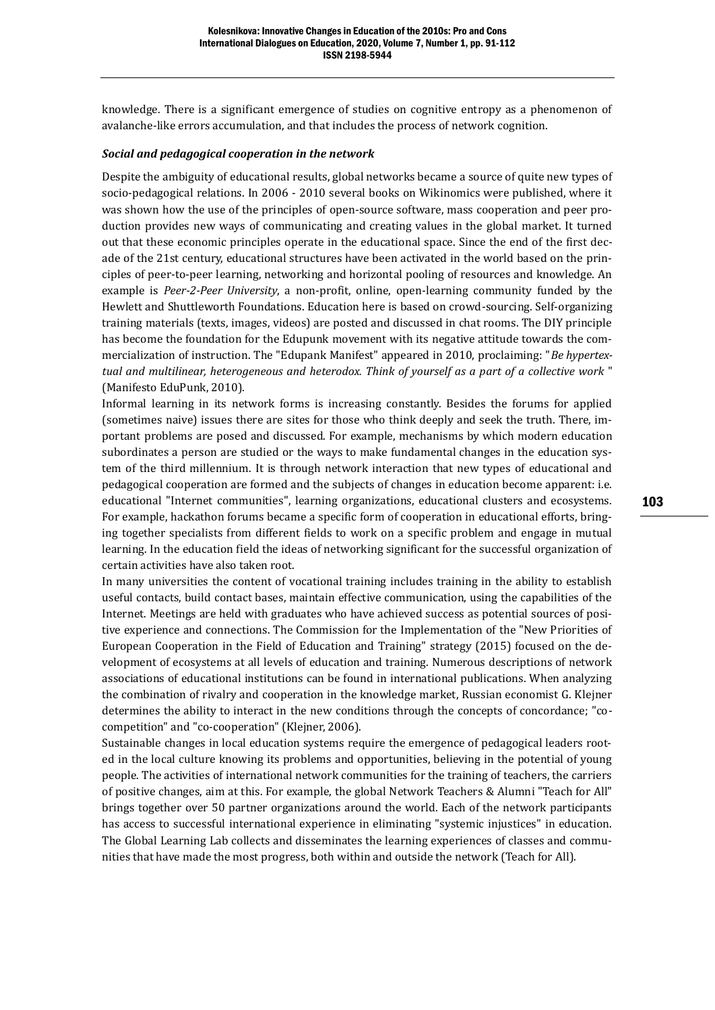knowledge. There is a significant emergence of studies on cognitive entropy as a phenomenon of avalanche-like errors accumulation, and that includes the process of network cognition.

#### *Social and pedagogical cooperation in the network*

Despite the ambiguity of educational results, global networks became a source of quite new types of socio-pedagogical relations. In 2006 - 2010 several books on Wikinomics were published, where it was shown how the use of the principles of open-source software, mass cooperation and peer production provides new ways of communicating and creating values in the global market. It turned out that these economic principles operate in the educational space. Since the end of the first decade of the 21st century, educational structures have been activated in the world based on the principles of peer-to-peer learning, networking and horizontal pooling of resources and knowledge. An example is *Peer-2-Peer University*, a non-profit, online, open-learning community funded by the Hewlett and Shuttleworth Foundations. Education here is based on crowd-sourcing. Self-organizing training materials (texts, images, videos) are posted and discussed in chat rooms. The DIY principle has become the foundation for the Edupunk movement with its negative attitude towards the commercialization of instruction. The "Edupank Manifest" appeared in 2010, proclaiming: "*Be hypertextual and multilinear, heterogeneous and heterodox. Think of yourself as a part of a collective work* " (Manifesto EduPunk, 2010).

Informal learning in its network forms is increasing constantly. Besides the forums for applied (sometimes naive) issues there are sites for those who think deeply and seek the truth. There, important problems are posed and discussed. For example, mechanisms by which modern education subordinates a person are studied or the ways to make fundamental changes in the education system of the third millennium. It is through network interaction that new types of educational and pedagogical cooperation are formed and the subjects of changes in education become apparent: i.e. educational "Internet communities", learning organizations, educational clusters and ecosystems. For example, hackathon forums became a specific form of cooperation in educational efforts, bringing together specialists from different fields to work on a specific problem and engage in mutual learning. In the education field the ideas of networking significant for the successful organization of certain activities have also taken root.

In many universities the content of vocational training includes training in the ability to establish useful contacts, build contact bases, maintain effective communication, using the capabilities of the Internet. Meetings are held with graduates who have achieved success as potential sources of positive experience and connections. The Commission for the Implementation of the "New Priorities of European Cooperation in the Field of Education and Training" strategy (2015) focused on the development of ecosystems at all levels of education and training. Numerous descriptions of network associations of educational institutions can be found in international publications. When analyzing the combination of rivalry and cooperation in the knowledge market, Russian economist G. Klejner determines the ability to interact in the new conditions through the concepts of concordance; "cocompetition" and "co-cooperation" (Klejner, 2006).

Sustainable changes in local education systems require the emergence of pedagogical leaders rooted in the local culture knowing its problems and opportunities, believing in the potential of young people. The activities of international network communities for the training of teachers, the carriers of positive changes, aim at this. For example, the global Network Teachers & Alumni "Teach for All" brings together over 50 partner organizations around the world. Each of the network participants has access to successful international experience in eliminating "systemic injustices" in education. The Global Learning Lab collects and disseminates the learning experiences of classes and communities that have made the most progress, both within and outside the network (Teach for All).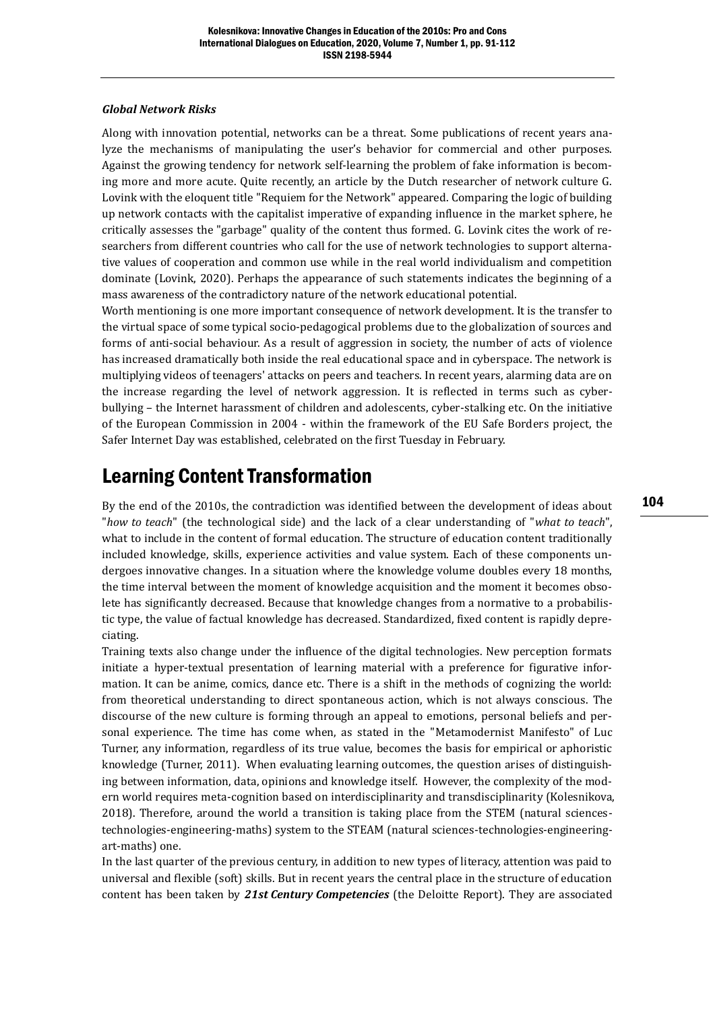#### *Global Network Risks*

Along with innovation potential, networks can be a threat. Some publications of recent years analyze the mechanisms of manipulating the user's behavior for commercial and other purposes. Against the growing tendency for network self-learning the problem of fake information is becoming more and more acute. Quite recently, an article by the Dutch researcher of network culture G. Lovink with the eloquent title "Requiem for the Network" appeared. Comparing the logic of building up network contacts with the capitalist imperative of expanding influence in the market sphere, he critically assesses the "garbage" quality of the content thus formed. G. Lovink cites the work of researchers from different countries who call for the use of network technologies to support alternative values of cooperation and common use while in the real world individualism and competition dominate (Lovink, 2020). Perhaps the appearance of such statements indicates the beginning of a mass awareness of the contradictory nature of the network educational potential.

Worth mentioning is one more important consequence of network development. It is the transfer to the virtual space of some typical socio-pedagogical problems due to the globalization of sources and forms of anti-social behaviour. As a result of aggression in society, the number of acts of violence has increased dramatically both inside the real educational space and in cyberspace. The network is multiplying videos of teenagers' attacks on peers and teachers. In recent years, alarming data are on the increase regarding the level of network aggression. It is reflected in terms such as cyberbullying – the Internet harassment of children and adolescents, cyber-stalking etc. On the initiative of the European Commission in 2004 - within the framework of the EU Safe Borders project, the Safer Internet Day was established, celebrated on the first Tuesday in February.

### Learning Content Transformation

By the end of the 2010s, the contradiction was identified between the development of ideas about "*how to teach*" (the technological side) and the lack of a clear understanding of "*what to teach*", what to include in the content of formal education. The structure of education content traditionally included knowledge, skills, experience activities and value system. Each of these components undergoes innovative changes. In a situation where the knowledge volume doubles every 18 months, the time interval between the moment of knowledge acquisition and the moment it becomes obsolete has significantly decreased. Because that knowledge changes from a normative to a probabilistic type, the value of factual knowledge has decreased. Standardized, fixed content is rapidly depreciating.

Training texts also change under the influence of the digital technologies. New perception formats initiate a hyper-textual presentation of learning material with a preference for figurative information. It can be anime, comics, dance etc. There is a shift in the methods of cognizing the world: from theoretical understanding to direct spontaneous action, which is not always conscious. The discourse of the new culture is forming through an appeal to emotions, personal beliefs and personal experience. The time has come when, as stated in the "Metamodernist Manifesto" of Luc Turner, any information, regardless of its true value, becomes the basis for empirical or aphoristic knowledge (Turner, 2011). When evaluating learning outcomes, the question arises of distinguishing between information, data, opinions and knowledge itself. However, the complexity of the modern world requires meta-cognition based on interdisciplinarity and transdisciplinarity (Kolesnikova, 2018). Therefore, around the world a transition is taking place from the STEM (natural sciencestechnologies-engineering-maths) system to the STEAM (natural sciences-technologies-engineeringart-maths) one.

In the last quarter of the previous century, in addition to new types of literacy, attention was paid to universal and flexible (soft) skills. But in recent years the central place in the structure of education content has been taken by *21st Century Competencies* (the Deloitte Report). They are associated 104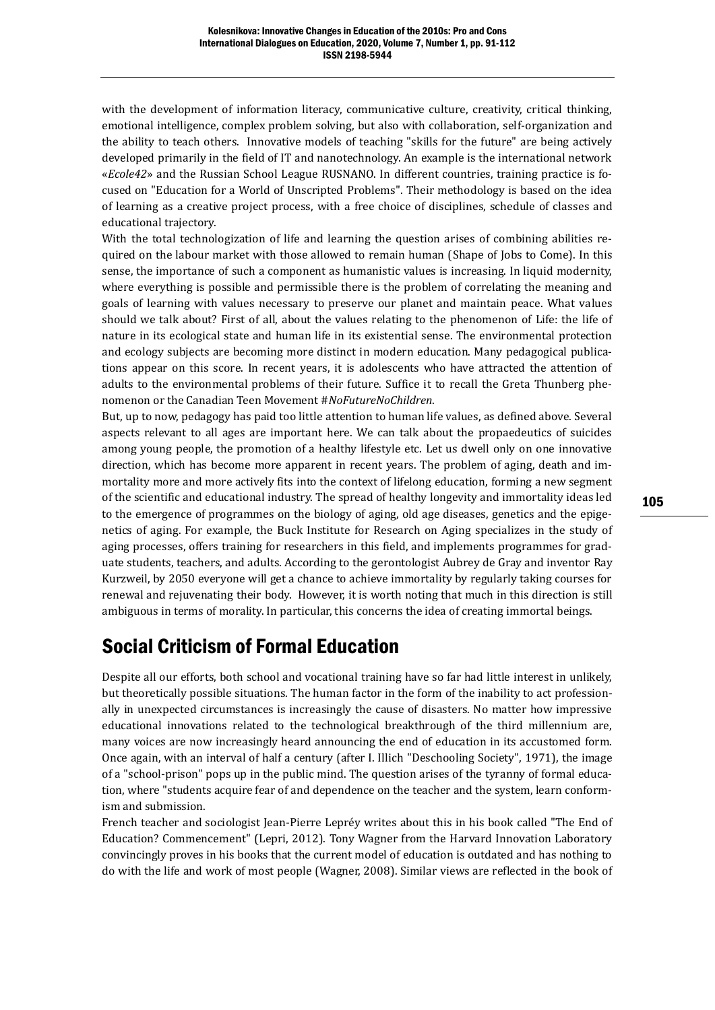with the development of information literacy, communicative culture, creativity, critical thinking, emotional intelligence, complex problem solving, but also with collaboration, self-organization and the ability to teach others. Innovative models of teaching "skills for the future" are being actively developed primarily in the field of IT and nanotechnology. An example is the international network «*Ecole42*» and the Russian School League RUSNANO. In different countries, training practice is focused on "Education for a World of Unscripted Problems". Their methodology is based on the idea of learning as a creative project process, with a free choice of disciplines, schedule of classes and educational trajectory.

With the total technologization of life and learning the question arises of combining abilities required on the labour market with those allowed to remain human (Shape of Jobs to Come). In this sense, the importance of such a component as humanistic values is increasing. In liquid modernity, where everything is possible and permissible there is the problem of correlating the meaning and goals of learning with values necessary to preserve our planet and maintain peace. What values should we talk about? First of all, about the values relating to the phenomenon of Life: the life of nature in its ecological state and human life in its existential sense. The environmental protection and ecology subjects are becoming more distinct in modern education. Many pedagogical publications appear on this score. In recent years, it is adolescents who have attracted the attention of adults to the environmental problems of their future. Suffice it to recall the Greta Thunberg phenomenon or the Canadian Teen Movement #*NoFutureNoChildren*.

But, up to now, pedagogy has paid too little attention to human life values, as defined above. Several aspects relevant to all ages are important here. We can talk about the propaedeutics of suicides among young people, the promotion of a healthy lifestyle etc. Let us dwell only on one innovative direction, which has become more apparent in recent years. The problem of aging, death and immortality more and more actively fits into the context of lifelong education, forming a new segment of the scientific and educational industry. The spread of healthy longevity and immortality ideas led to the emergence of programmes on the biology of aging, old age diseases, genetics and the epigenetics of aging. For example, the Buck Institute for Research on Aging specializes in the study of aging processes, offers training for researchers in this field, and implements programmes for graduate students, teachers, and adults. According to the gerontologist Aubrey de Gray and inventor Ray Kurzweil, by 2050 everyone will get a chance to achieve immortality by regularly taking courses for renewal and rejuvenating their body. However, it is worth noting that much in this direction is still ambiguous in terms of morality. In particular, this concerns the idea of creating immortal beings.

## Social Criticism of Formal Education

Despite all our efforts, both school and vocational training have so far had little interest in unlikely, but theoretically possible situations. The human factor in the form of the inability to act professionally in unexpected circumstances is increasingly the cause of disasters. No matter how impressive educational innovations related to the technological breakthrough of the third millennium are, many voices are now increasingly heard announcing the end of education in its accustomed form. Once again, with an interval of half a century (after I. Illich "Deschooling Society", 1971), the image of a "school-prison" pops up in the public mind. The question arises of the tyranny of formal education, where "students acquire fear of and dependence on the teacher and the system, learn conformism and submission.

French teacher and sociologist Jean-Pierre Lepréy writes about this in his book called "The End of Education? Commencement" (Lepri, 2012). Tony Wagner from the Harvard Innovation Laboratory convincingly proves in his books that the current model of education is outdated and has nothing to do with the life and work of most people (Wagner, 2008). Similar views are reflected in the book of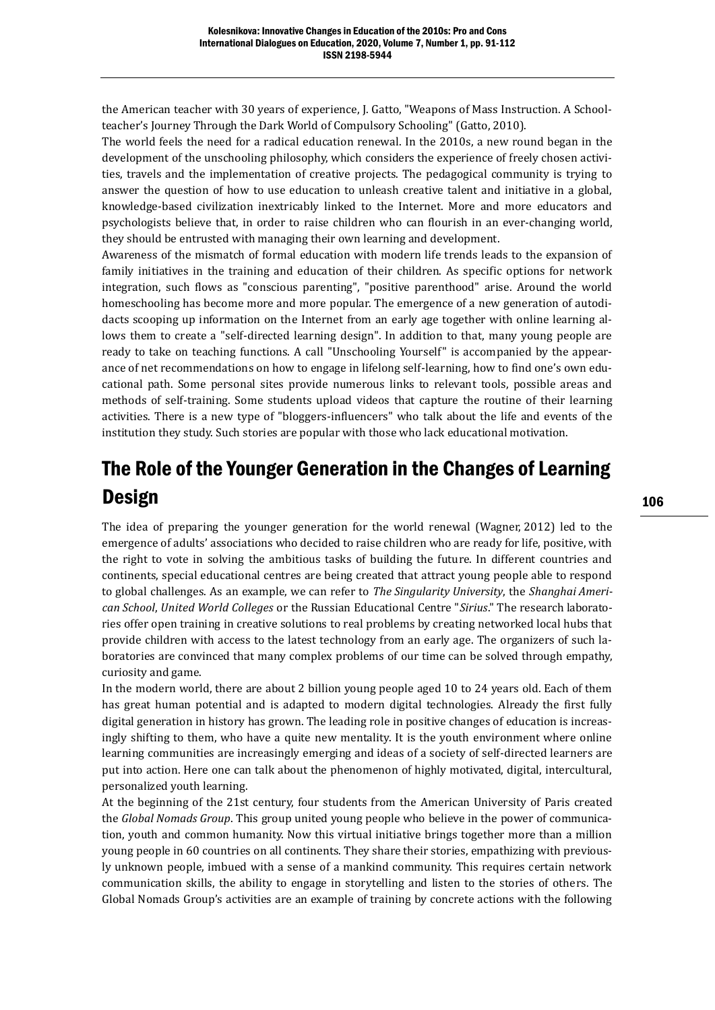the American teacher with 30 years of experience, J. Gatto, "Weapons of Mass Instruction. A Schoolteacher's Journey Through the Dark World of Compulsory Schooling" (Gatto, 2010).

The world feels the need for a radical education renewal. In the 2010s, a new round began in the development of the unschooling philosophy, which considers the experience of freely chosen activities, travels and the implementation of creative projects. The pedagogical community is trying to answer the question of how to use education to unleash creative talent and initiative in a global, knowledge-based civilization inextricably linked to the Internet. More and more educators and psychologists believe that, in order to raise children who can flourish in an ever-changing world, they should be entrusted with managing their own learning and development.

Awareness of the mismatch of formal education with modern life trends leads to the expansion of family initiatives in the training and education of their children. As specific options for network integration, such flows as "conscious parenting", "positive parenthood" arise. Around the world homeschooling has become more and more popular. The emergence of a new generation of autodidacts scooping up information on the Internet from an early age together with online learning allows them to create a "self-directed learning design". In addition to that, many young people are ready to take on teaching functions. A call "Unschooling Yourself" is accompanied by the appearance of net recommendations on how to engage in lifelong self-learning, how to find one's own educational path. Some personal sites provide numerous links to relevant tools, possible areas and methods of self-training. Some students upload videos that capture the routine of their learning activities. There is a new type of "bloggers-influencers" who talk about the life and events of the institution they study. Such stories are popular with those who lack educational motivation.

# The Role of the Younger Generation in the Changes of Learning Design

The idea of preparing the younger generation for the world renewal (Wagner, 2012) led to the emergence of adults' associations who decided to raise children who are ready for life, positive, with the right to vote in solving the ambitious tasks of building the future. In different countries and continents, special educational centres are being created that attract young people able to respond to global challenges. As an example, we can refer to *The Singularity University*, the *Shanghai American School*, *United World Colleges* or the Russian Educational Centre "*Sirius*." The research laboratories offer open training in creative solutions to real problems by creating networked local hubs that provide children with access to the latest technology from an early age. The organizers of such laboratories are convinced that many complex problems of our time can be solved through empathy, curiosity and game.

In the modern world, there are about 2 billion young people aged 10 to 24 years old. Each of them has great human potential and is adapted to modern digital technologies. Already the first fully digital generation in history has grown. The leading role in positive changes of education is increasingly shifting to them, who have a quite new mentality. It is the youth environment where online learning communities are increasingly emerging and ideas of a society of self-directed learners are put into action. Here one can talk about the phenomenon of highly motivated, digital, intercultural, personalized youth learning.

At the beginning of the 21st century, four students from the American University of Paris created the *Global Nomads Group*. This group united young people who believe in the power of communication, youth and common humanity. Now this virtual initiative brings together more than a million young people in 60 countries on all continents. They share their stories, empathizing with previously unknown people, imbued with a sense of a mankind community. This requires certain network communication skills, the ability to engage in storytelling and listen to the stories of others. The Global Nomads Group's activities are an example of training by concrete actions with the following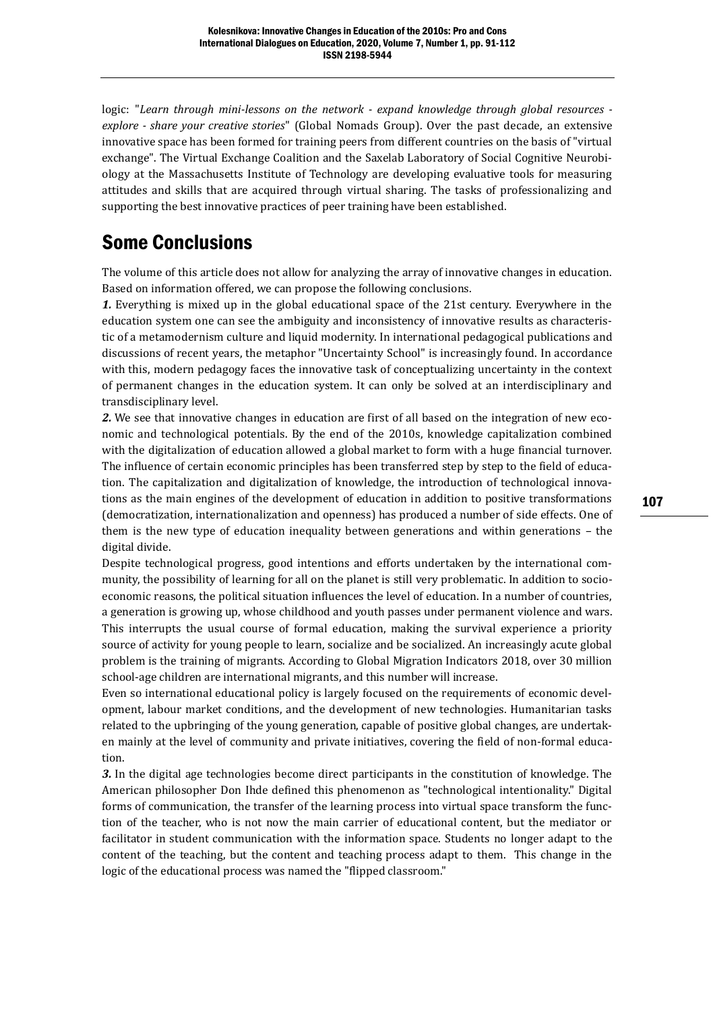logic: "*Learn through mini-lessons on the network - expand knowledge through global resources explore - share your creative stories*" (Global Nomads Group). Over the past decade, an extensive innovative space has been formed for training peers from different countries on the basis of "virtual exchange". The Virtual Exchange Coalition and the Saxelab Laboratory of Social Cognitive Neurobiology at the Massachusetts Institute of Technology are developing evaluative tools for measuring attitudes and skills that are acquired through virtual sharing. The tasks of professionalizing and supporting the best innovative practices of peer training have been established.

### Some Conclusions

The volume of this article does not allow for analyzing the array of innovative changes in education. Based on information offered, we can propose the following conclusions.

*1.* Everything is mixed up in the global educational space of the 21st century. Everywhere in the education system one can see the ambiguity and inconsistency of innovative results as characteristic of a metamodernism culture and liquid modernity. In international pedagogical publications and discussions of recent years, the metaphor "Uncertainty School" is increasingly found. In accordance with this, modern pedagogy faces the innovative task of conceptualizing uncertainty in the context of permanent changes in the education system. It can only be solved at an interdisciplinary and transdisciplinary level.

*2.* We see that innovative changes in education are first of all based on the integration of new economic and technological potentials. By the end of the 2010s, knowledge capitalization combined with the digitalization of education allowed a global market to form with a huge financial turnover. The influence of certain economic principles has been transferred step by step to the field of education. The capitalization and digitalization of knowledge, the introduction of technological innovations as the main engines of the development of education in addition to positive transformations (democratization, internationalization and openness) has produced a number of side effects. One of them is the new type of education inequality between generations and within generations – the digital divide.

Despite technological progress, good intentions and efforts undertaken by the international community, the possibility of learning for all on the planet is still very problematic. In addition to socioeconomic reasons, the political situation influences the level of education. In a number of countries, a generation is growing up, whose childhood and youth passes under permanent violence and wars. This interrupts the usual course of formal education, making the survival experience a priority source of activity for young people to learn, socialize and be socialized. An increasingly acute global problem is the training of migrants. According to Global Migration Indicators 2018, over 30 million school-age children are international migrants, and this number will increase.

Even so international educational policy is largely focused on the requirements of economic development, labour market conditions, and the development of new technologies. Humanitarian tasks related to the upbringing of the young generation, capable of positive global changes, are undertaken mainly at the level of community and private initiatives, covering the field of non-formal education.

*3.* In the digital age technologies become direct participants in the constitution of knowledge. The American philosopher Don Ihde defined this phenomenon as "technological intentionality." Digital forms of communication, the transfer of the learning process into virtual space transform the function of the teacher, who is not now the main carrier of educational content, but the mediator or facilitator in student communication with the information space. Students no longer adapt to the content of the teaching, but the content and teaching process adapt to them. This change in the logic of the educational process was named the "flipped classroom."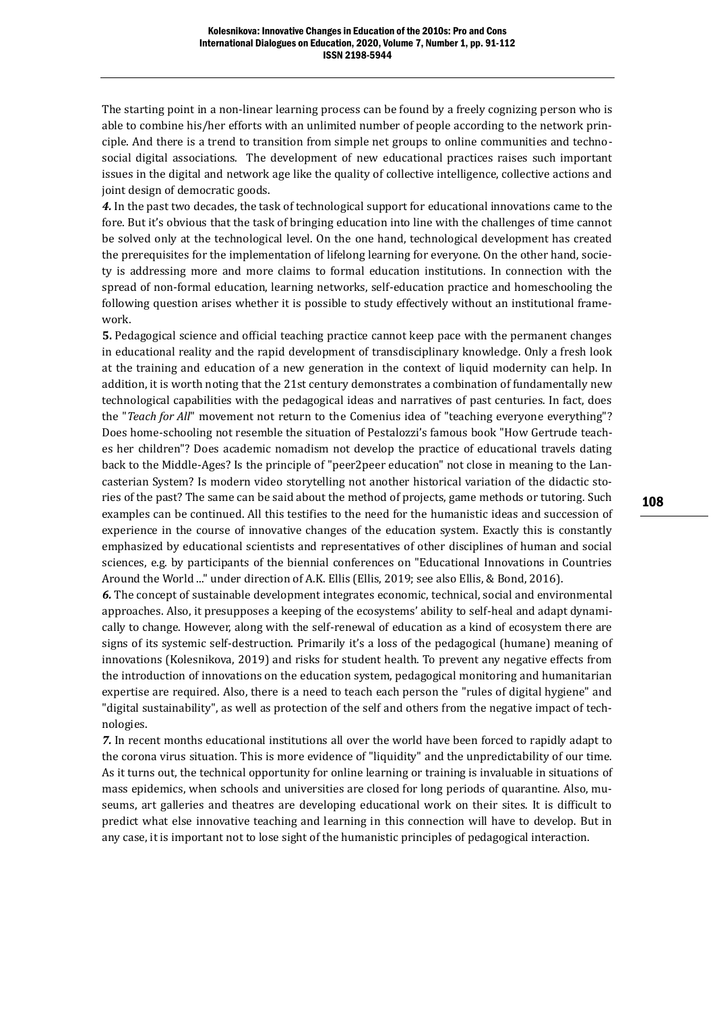The starting point in a non-linear learning process can be found by a freely cognizing person who is able to combine his/her efforts with an unlimited number of people according to the network principle. And there is a trend to transition from simple net groups to online communities and technosocial digital associations. The development of new educational practices raises such important issues in the digital and network age like the quality of collective intelligence, collective actions and joint design of democratic goods.

*4.* In the past two decades, the task of technological support for educational innovations came to the fore. But it's obvious that the task of bringing education into line with the challenges of time cannot be solved only at the technological level. On the one hand, technological development has created the prerequisites for the implementation of lifelong learning for everyone. On the other hand, society is addressing more and more claims to formal education institutions. In connection with the spread of non-formal education, learning networks, self-education practice and homeschooling the following question arises whether it is possible to study effectively without an institutional framework.

**5.** Pedagogical science and official teaching practice cannot keep pace with the permanent changes in educational reality and the rapid development of transdisciplinary knowledge. Only a fresh look at the training and education of a new generation in the context of liquid modernity can help. In addition, it is worth noting that the 21st century demonstrates a combination of fundamentally new technological capabilities with the pedagogical ideas and narratives of past centuries. In fact, does the "*Teach for All*" movement not return to the Comenius idea of "teaching everyone everything"? Does home-schooling not resemble the situation of Pestalozzi's famous book "How Gertrude teaches her children"? Does academic nomadism not develop the practice of educational travels dating back to the Middle-Ages? Is the principle of "peer2peer education" not close in meaning to the Lancasterian System? Is modern video storytelling not another historical variation of the didactic stories of the past? The same can be said about the method of projects, game methods or tutoring. Such examples can be continued. All this testifies to the need for the humanistic ideas and succession of experience in the course of innovative changes of the education system. Exactly this is constantly emphasized by educational scientists and representatives of other disciplines of human and social sciences, e.g. by participants of the biennial conferences on "Educational Innovations in Countries Around the World ..." under direction of A.K. Ellis (Ellis, 2019; see also Ellis, & Bond, 2016).

*6.* The concept of sustainable development integrates economic, technical, social and environmental approaches. Also, it presupposes a keeping of the ecosystems' ability to self-heal and adapt dynamically to change. However, along with the self-renewal of education as a kind of ecosystem there are signs of its systemic self-destruction. Primarily it's a loss of the pedagogical (humane) meaning of innovations (Kolesnikova, 2019) and risks for student health. To prevent any negative effects from the introduction of innovations on the education system, pedagogical monitoring and humanitarian expertise are required. Also, there is a need to teach each person the "rules of digital hygiene" and "digital sustainability", as well as protection of the self and others from the negative impact of technologies.

*7.* In recent months educational institutions all over the world have been forced to rapidly adapt to the corona virus situation. This is more evidence of "liquidity" and the unpredictability of our time. As it turns out, the technical opportunity for online learning or training is invaluable in situations of mass epidemics, when schools and universities are closed for long periods of quarantine. Also, museums, art galleries and theatres are developing educational work on their sites. It is difficult to predict what else innovative teaching and learning in this connection will have to develop. But in any case, it is important not to lose sight of the humanistic principles of pedagogical interaction.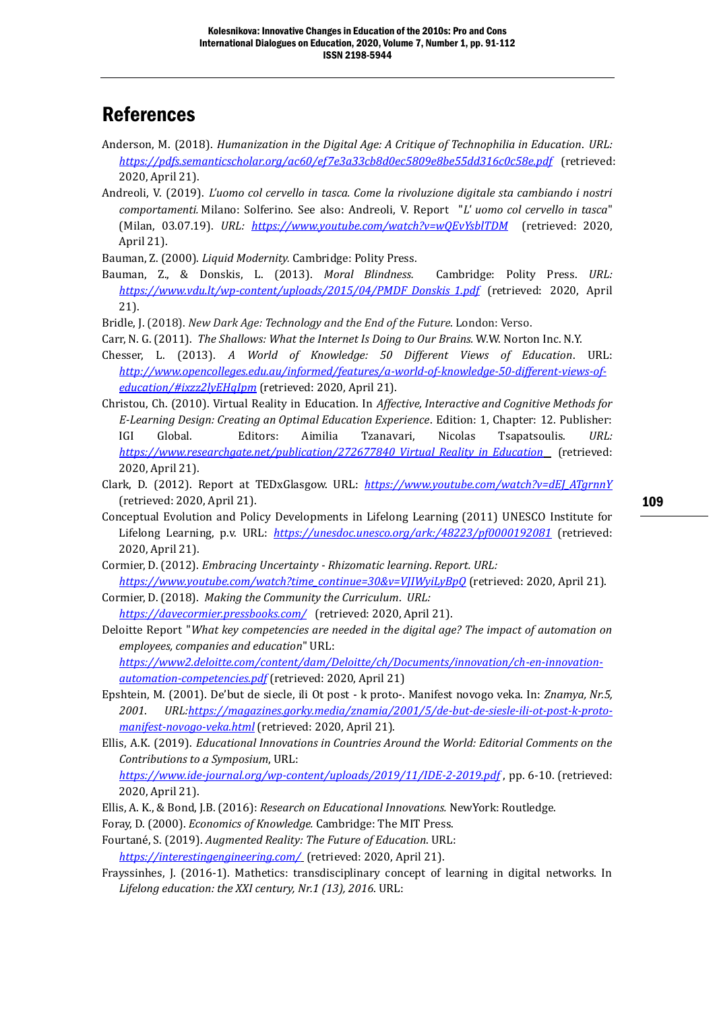### References

- Anderson, M. (2018). *Humanization in the Digital Age: A Critique of Technophilia in Education*. *URL: <https://pdfs.semanticscholar.org/ac60/ef7e3a33cb8d0ec5809e8be55dd316c0c58e.pdf>*(retrieved: 2020, April 21).
- Andreoli, V. (2019). *L'uomo col cervello in tasca. Come la rivoluzione digitale sta cambiando i nostri comportamenti.* Milano: Solferino. See also: Andreoli, V. Report "*L' uomo col cervello in tasca*" (Milan, 03.07.19). *URL: <https://www.youtube.com/watch?v=wQEvYsblTDM>* (retrieved: 2020, April 21).

Bauman, Z. (2000). *Liquid Modernity.* Cambridge: Polity Press.

Bauman, Z., & Donskis, L. (2013). *Moral Blindness.* Cambridge: Polity Press. *URL: [https://www.vdu.lt/wp-content/uploads/2015/04/PMDF\\_Donskis\\_1.pdf](https://www.vdu.lt/wp-content/uploads/2015/04/PMDF_Donskis_1.pdf)* (retrieved: 2020, April 21).

Bridle, J. (2018). *New Dark Age: Technology and the End of the Future*. London: Verso.

Carr, N. G. (2011). *The Shallows: What the Internet Is Doing to Our Brains.* W.W. Norton Inc. N.Y.

- Chesser, L. (2013). *A World of Knowledge: 50 Different Views of Education*. URL: *[http://www.opencolleges.edu.au/informed/features/a-world-of-knowledge-50-different-views-of](http://www.opencolleges.edu.au/informed/features/a-world-of-knowledge-50-different-views-of-education/#ixzz2lyEHqIpm)[education/#ixzz2lyEHqIpm](http://www.opencolleges.edu.au/informed/features/a-world-of-knowledge-50-different-views-of-education/#ixzz2lyEHqIpm)* (retrieved: 2020, April 21).
- Christou, Ch. (2010). Virtual Reality in Education. In *Affective, Interactive and Cognitive Methods for E-Learning Design: Creating an Optimal Education Experience*. Edition: 1, Chapter: 12. Publisher: IGI Global. Editors: Aimilia Tzanavari, Nicolas Tsapatsoulis. *URL: [https://www.researchgate.net/publication/272677840\\_Virtual\\_Reality\\_in\\_Education](https://www.researchgate.net/publication/272677840_Virtual_Reality_in_Education)* (retrieved: 2020, April 21).
- Clark, D. (2012). Report at TEDxGlasgow. URL: *[https://www.youtube.com/watch?v=dEJ\\_ATgrnnY](https://www.youtube.com/watch?v=dEJ_ATgrnnY)* (retrieved: 2020, April 21).

Conceptual Evolution and Policy Developments in Lifelong Learning (2011) UNESCO Institute for Lifelong Learning, p.v. URL: *<https://unesdoc.unesco.org/ark:/48223/pf0000192081>* (retrieved: 2020, April 21).

Cormier, D. (2012). *Embracing Uncertainty - Rhizomatic learning*. *Report. URL:*

*[https://www.youtube.com/watch?time\\_continue=30&v=VJIWyiLyBpQ](https://www.youtube.com/watch?time_continue=30&v=VJIWyiLyBpQ)* (retrieved: 2020, April 21). Cormier, D. (2018). *Making the Community the Curriculum*. *URL:*

*<https://davecormier.pressbooks.com/>* (retrieved: 2020, April 21).

Deloitte Report "*What key competencies are needed in the digital age? The impact of automation on employees, companies and education*" URL:

*[https://www2.deloitte.com/content/dam/Deloitte/ch/Documents/innovation/ch-en-innovation](https://www2.deloitte.com/content/dam/Deloitte/ch/Documents/innovation/ch-en-innovation-automation-competencies.pdf)[automation-competencies.pdf](https://www2.deloitte.com/content/dam/Deloitte/ch/Documents/innovation/ch-en-innovation-automation-competencies.pdf)* (retrieved: 2020, April 21)

- Epshtein, M. (2001). De'but de sieсle, ili Ot post k proto-. Manifest novogo veka. In: *Znamya, Nr.5, 2001*. *URL[:https://magazines.gorky.media/znamia/2001/5/de-but-de-siesle-ili-ot-post-k-proto](https://magazines.gorky.media/znamia/2001/5/de-but-de-siesle-ili-ot-post-k-proto-manifest-novogo-veka.html)[manifest-novogo-veka.html](https://magazines.gorky.media/znamia/2001/5/de-but-de-siesle-ili-ot-post-k-proto-manifest-novogo-veka.html)* (retrieved: 2020, April 21).
- Ellis, A.K. (2019). *Educational Innovations in Countries Around the World: Editorial Comments on the Contributions to a Symposium*, URL:

*<https://www.ide-journal.org/wp-content/uploads/2019/11/IDE-2-2019.pdf>* , pp. 6-10. (retrieved: 2020, April 21).

- Ellis, A. K., & Bond, J.B. (2016): *Research on Educational Innovations.* NewYork: Routledge.
- Foray, D. (2000). *Economics of Knowledge.* Cambridge: The MIT Press.

[Fourtané,](https://interestingengineering.com/author/susan-fourtane) S. (2019). *Augmented Reality: The Future of Education*. URL: *<https://interestingengineering.com/>* (retrieved: 2020, April 21).

Frayssinhes, J. (2016-1). Mathetics: transdisciplinary concept of learning in digital networks. In *Lifelong education: the XXI century, Nr.1 (13), 2016*. URL: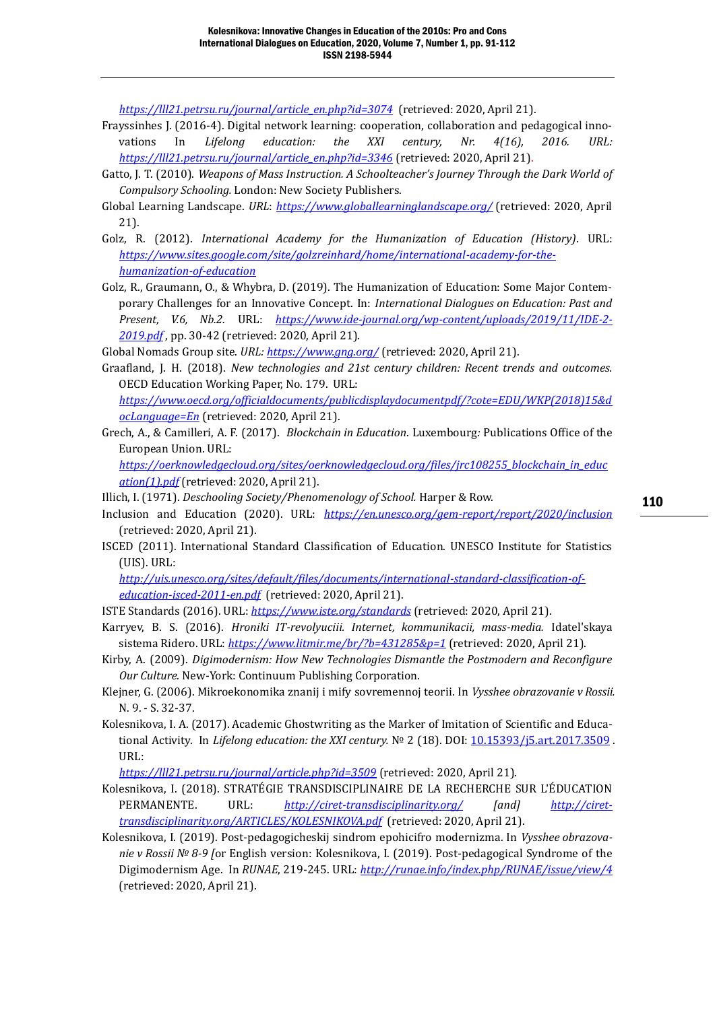*[https://lll21.petrsu.ru/journal/article\\_en.php?id=3074](https://lll21.petrsu.ru/journal/article_en.php?id=3074)* (retrieved: 2020, April 21).

- Frayssinhes J. (2016-4). Digital network learning: cooperation, collaboration and pedagogical innovations In *Lifelong education: the XXI century, Nr. 4(16), 2016. URL: [https://lll21.petrsu.ru/journal/article\\_en.php?id=3346](https://lll21.petrsu.ru/journal/article_en.php?id=3346)* (retrieved: 2020, April 21).
- Gatto, J. T. (2010). *Weapons of Mass Instruction. A Schoolteacher's Journey Through the Dark World of Compulsory Schooling.* London: New Society Publishers.
- Global Learning Landscape. *URL*: *<https://www.globallearninglandscape.org/>* (retrieved: 2020, April 21).
- Golz, R. (2012). *International Academy for the Humanization of Education (History)*. URL: *[https://www.sites.google.com/site/golzreinhard/home/international-academy-for-the](https://www.sites.google.com/site/golzreinhard/home/international-academy-for-the-humanization-of-education)[humanization-of-education](https://www.sites.google.com/site/golzreinhard/home/international-academy-for-the-humanization-of-education)*
- Golz, R., Graumann, O., & Whybra, D. (2019). The Humanization of Education: Some Major Contemporary Challenges for an Innovative Concept. In: *International Dialogues on Education: Past and Present, V.6, Nb.2.* URL: *[https://www.ide-journal.org/wp-content/uploads/2019/11/IDE-2-](https://www.ide-journal.org/wp-content/uploads/2019/11/IDE-2-2019.pdf) [2019.pdf](https://www.ide-journal.org/wp-content/uploads/2019/11/IDE-2-2019.pdf)* , pp. 30-42 (retrieved: 2020, April 21).

Global Nomads Group site. *URL: <https://www.gng.org/>* (retrieved: 2020, April 21).

- Graafland, J. H. (2018). *New technologies and 21st century children: Recent trends and outcomes.*  OECD Education Working Paper, No. 179. URL: *[https://www.oecd.org/officialdocuments/publicdisplaydocumentpdf/?cote=EDU/WKP\(2018\)15&d](https://www.oecd.org/officialdocuments/publicdisplaydocumentpdf/?cote=EDU/WKP(2018)15&docLanguage=En) [ocLanguage=En](https://www.oecd.org/officialdocuments/publicdisplaydocumentpdf/?cote=EDU/WKP(2018)15&docLanguage=En)* (retrieved: 2020, April 21).
- Grech, A., & Camilleri, A. F. (2017). *Blockchain in Education*. Luxembourg*:* Publications Office of the European Union. URL:

*[https://oerknowledgecloud.org/sites/oerknowledgecloud.org/files/jrc108255\\_blockchain\\_in\\_educ](https://oerknowledgecloud.org/sites/oerknowledgecloud.org/files/jrc108255_blockchain_in_education(1).pdf) [ation\(1\).pdf](https://oerknowledgecloud.org/sites/oerknowledgecloud.org/files/jrc108255_blockchain_in_education(1).pdf)* (retrieved: 2020, April 21).

Illich, I. (1971). *Deschooling Society/Phenomenology of School.* Harper & Row.

- Inclusion and Education (2020). URL: *<https://en.unesco.org/gem-report/report/2020/inclusion>* (retrieved: 2020, April 21).
- ISCED (2011). International Standard Classification of Education. UNESCO Institute for Statistics (UIS). URL:

*[http://uis.unesco.org/sites/default/files/documents/international-standard-classification-of](http://uis.unesco.org/sites/default/files/documents/international-standard-classification-of-education-isced-2011-en.pdf)[education-isced-2011-en.pdf](http://uis.unesco.org/sites/default/files/documents/international-standard-classification-of-education-isced-2011-en.pdf)* (retrieved: 2020, April 21).

ISTE Standards (2016). URL: *<https://www.iste.org/standards>* (retrieved: 2020, April 21).

- Karryev, B. S. (2016). *Hroniki IT-revolyuciii. Internet, kommunikacii, mass-media.* Idatel'skaya sistema Ridero. URL: *<https://www.litmir.me/br/?b=431285&p=1>* (retrieved: 2020, April 21).
- Kirby, A. (2009). *Digimodernism: How New Technologies Dismantle the Postmodern and Reconfigure Our Culture.* New-York: Continuum Publishing Corporation.
- Klejner, G. (2006). Mikroekonomika znanij i mify sovremennoj teorii. In *Vysshee obrazovanie v Rossii.*  N. 9. - S. 32-37.
- Kolesnikova, I. A. (2017). Academic Ghostwriting as the Marker of Imitation of Scientific and Educational Activity. In *Lifelong education: the XXI century.* № 2 (18). DOI: [10.15393/j5.art.2017.3509](http://dx.doi.org/10.15393/j5.art.2017.3509) . URL:

*<https://lll21.petrsu.ru/journal/article.php?id=3509>* (retrieved: 2020, April 21).

- Kolesnikova, I. (2018). STRATÉGIE TRANSDISCIPLINAIRE DE LA RECHERCHE SUR L'ÉDUCATION PERMANENTE. URL: *<http://ciret-transdisciplinarity.org/> [and] [http://ciret](http://ciret-transdisciplinarity.org/ARTICLES/KOLESNIKOVA.pdf)[transdisciplinarity.org/ARTICLES/KOLESNIKOVA.pdf](http://ciret-transdisciplinarity.org/ARTICLES/KOLESNIKOVA.pdf)* (retrieved: 2020, April 21).
- Kolesnikova, I. (2019). Post-pedagogicheskij sindrom epohicifro modernizma. In *Vysshee obrazovanie v Rossii № 8-9 [*or English version: Kolesnikova, I. (2019). Post-pedagogical Syndrome of the Digimodernism Age. In *RUNAE*, 219-245. URL: *<http://runae.info/index.php/RUNAE/issue/view/4>* (retrieved: 2020, April 21).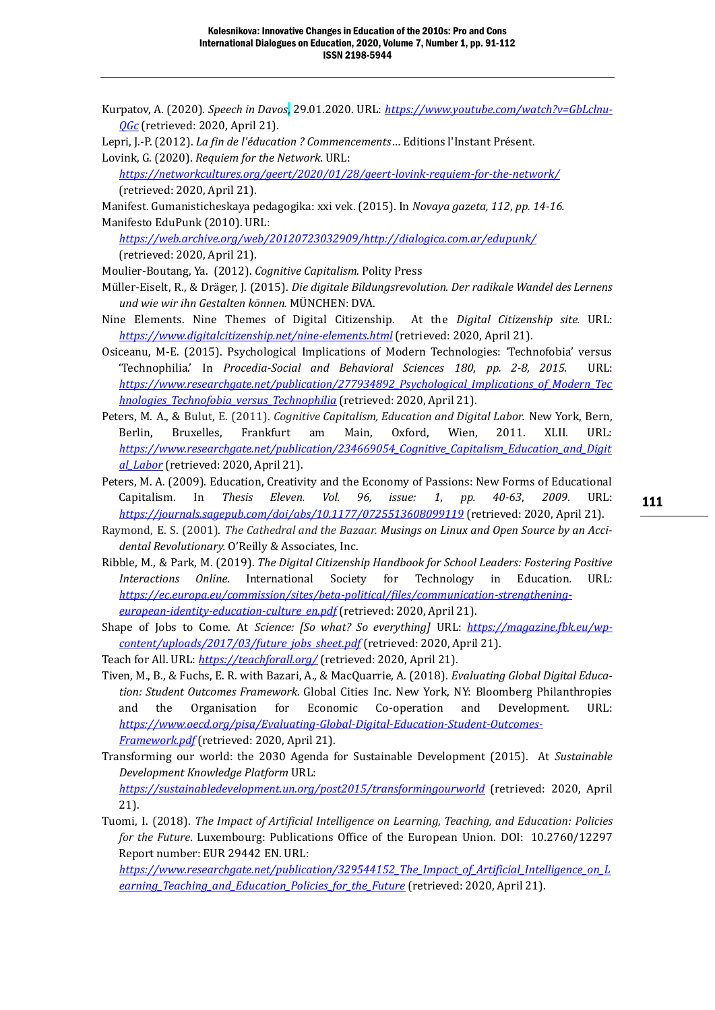Kurpatov, A. (2020). *Speech in Davos*, 29.01.2020. URL: *[https://www.youtube.com/watch?v=GbLclnu-](https://www.youtube.com/watch?v=GbLclnu-QGc)[QGc](https://www.youtube.com/watch?v=GbLclnu-QGc)* (retrieved: 2020, April 21).

Lepri, J.-P. (2012). *La fin de l'éducation ? Commencements*… Editions l'Instant Présent. Lovink, G. (2020). *Requiem for the Network*. URL:

*<https://networkcultures.org/geert/2020/01/28/geert-lovink-requiem-for-the-network/>* (retrieved: 2020, April 21).

Manifest. Gumanisticheskaya pedagogika: xxi vek. (2015). In *Novaya gazeta, 112*, *pp. 14-16.* Manifesto EduPunk (2010). URL:

*[https://web.archive.org/web/20120723032909/http://dialogica.com.ar/edupunk/](https://web.archive.org/web/20120723032909/http:/dialogica.com.ar/edupunk/)* (retrieved: 2020, April 21).

- Moulier-Boutang, Ya. (2012). *Cognitive Capitalism.* Polity Press
- Müller-Eiselt, R., & Dräger, J. (2015). *Die digitale Bildungsrevolution. Der radikale Wandel des Lernens und wie wir ihn Gestalten können.* MÜNCHEN: DVA.
- Nine Elements. Nine Themes of Digital Citizenship. At the *Digital Citizenship site.* URL: *<https://www.digitalcitizenship.net/nine-elements.html>* (retrieved: 2020, April 21).
- Osiceanu, M-E. (2015). Psychological Implications of Modern Technologies: 'Technofobia' versus 'Technophilia.' In *Procedia-Social and Behavioral Sciences 180*, *pp. 2-8, 2015.* URL: *[https://www.researchgate.net/publication/277934892\\_Psychological\\_Implications\\_of\\_Modern\\_Tec](https://www.researchgate.net/publication/277934892_Psychological_Implications_of_Modern_Technologies_Technofobia_versus_Technophilia) [hnologies\\_Technofobia\\_versus\\_Technophilia](https://www.researchgate.net/publication/277934892_Psychological_Implications_of_Modern_Technologies_Technofobia_versus_Technophilia)* (retrieved: 2020, April 21).
- Peters, M. A., & Bulut, E. (2011). *Cognitive Capitalism, Education and Digital Labor.* New York, Bern, Berlin, Bruxelles, Frankfurt am Main, Oxford, Wien, 2011. XLII. URL: *[https://www.researchgate.net/publication/234669054\\_Cognitive\\_Capitalism\\_Education\\_and\\_Digit](https://www.researchgate.net/publication/234669054_Cognitive_Capitalism_Education_and_Digital_Labor) [al\\_Labor](https://www.researchgate.net/publication/234669054_Cognitive_Capitalism_Education_and_Digital_Labor)* (retrieved: 2020, April 21).
- Peters, M. A. (2009). Education, Creativity and the Economy of Passions: New Forms of Educational Capitalism. In *Thesis Eleven. Vol. 96, issue: 1*, *pp. 40-63*, *2009*. URL: *<https://journals.sagepub.com/doi/abs/10.1177/0725513608099119>* (retrieved: 2020, April 21).
- Raymond, E. S. (2001). *The Cathedral and the Bazaar. Musings on Linux and Open Source by an Accidental Revolutionary.* O'Reilly & Associates, Inc.
- Ribble, M., & Park, M. (2019). *The Digital Citizenship Handbook for School Leaders: Fostering Positive Interactions Online.* International Society for Technology in Education*.* URL: *[https://ec.europa.eu/commission/sites/beta-political/files/communication-strengthening](https://ec.europa.eu/commission/sites/beta-political/files/communication-strengthening-european-identity-education-culture_en.pdf)[european-identity-education-culture\\_en.pdf](https://ec.europa.eu/commission/sites/beta-political/files/communication-strengthening-european-identity-education-culture_en.pdf)* (retrieved: 2020, April 21).
- Shape of Jobs to Come. At *Science: [So what? So everything]* URL: *[https://magazine.fbk.eu/wp](https://magazine.fbk.eu/wp-content/uploads/2017/03/future_jobs_sheet.pdf)[content/uploads/2017/03/future\\_jobs\\_sheet.pdf](https://magazine.fbk.eu/wp-content/uploads/2017/03/future_jobs_sheet.pdf)* (retrieved: 2020, April 21).
- Teach for All. URL: *<https://teachforall.org/>* (retrieved: 2020, April 21).
- Tiven, M., B., & Fuchs, E. R. with Bazari, A., & MacQuarrie, A. (2018). *Evaluating Global Digital Education: Student Outcomes Framework.* Global Cities Inc. New York, NY: Bloomberg Philanthropies and the Organisation for Economic Co-operation and Development. URL: *[https://www.oecd.org/pisa/Evaluating-Global-Digital-Education-Student-Outcomes-](https://www.oecd.org/pisa/Evaluating-Global-Digital-Education-Student-Outcomes-Framework.pdf)[Framework.pdf](https://www.oecd.org/pisa/Evaluating-Global-Digital-Education-Student-Outcomes-Framework.pdf)* (retrieved: 2020, April 21).
- Transforming our world: the 2030 Agenda for Sustainable Development (2015). At *Sustainable Development Knowledge Platform* URL:

*<https://sustainabledevelopment.un.org/post2015/transformingourworld>* (retrieved: 2020, April 21).

Tuomi, I. (2018). *The Impact of Artificial Intelligence on Learning, Teaching, and Education: Policies for the Future*. Luxembourg: Publications Office of the European Union. DOI: 10.2760/12297 Report number: EUR 29442 EN. URL:

*[https://www.researchgate.net/publication/329544152\\_The\\_Impact\\_of\\_Artificial\\_Intelligence\\_on\\_L](https://www.researchgate.net/publication/329544152_The_Impact_of_Artificial_Intelligence_on_Learning_Teaching_and_Education_Policies_for_the_Future) [earning\\_Teaching\\_and\\_Education\\_Policies\\_for\\_the\\_Future](https://www.researchgate.net/publication/329544152_The_Impact_of_Artificial_Intelligence_on_Learning_Teaching_and_Education_Policies_for_the_Future)* (retrieved: 2020, April 21).